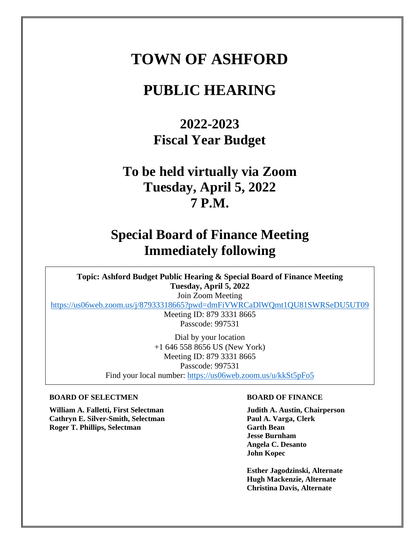# **TOWN OF ASHFORD**

# **PUBLIC HEARING**

# **2022-2023 Fiscal Year Budget**

# **To be held virtually via Zoom Tuesday, April 5, 2022 7 P.M.**

# **Special Board of Finance Meeting Immediately following**

**Topic: Ashford Budget Public Hearing & Special Board of Finance Meeting Tuesday, April 5, 2022**

Join Zoom Meeting

[https://us06web.zoom.us/j/87933318665?pwd=dmFiVWRCaDlWQmt1QU81SWRSeDU5UT09](https://urldefense.proofpoint.com/v2/url?u=https-3A__us06web.zoom.us_j_87933318665-3Fpwd-3DdmFiVWRCaDlWQmt1QU81SWRSeDU5UT09&d=DwMFAw&c=euGZstcaTDllvimEN8b7jXrwqOf-v5A_CdpgnVfiiMM&r=GOLfCSmfPJLJ9NnYeBp2-8ifkTgj6OAzdgWMqoXwau8&m=4YDIoPUTmrk4-D1bHUmJf17PVktzD-k2uojnCmgM8QQ&s=rBlb2MOt_ahTZ9b7ve1N7g8uvhnxYK_P5T8K_pSXUFE&e=)

Meeting ID: 879 3331 8665 Passcode: 997531

Dial by your location +1 646 558 8656 US (New York) Meeting ID: 879 3331 8665 Passcode: 997531 Find your local number: [https://us06web.zoom.us/u/kkSt5pFo5](https://urldefense.proofpoint.com/v2/url?u=https-3A__us06web.zoom.us_u_kkSt5pFo5&d=DwMFAw&c=euGZstcaTDllvimEN8b7jXrwqOf-v5A_CdpgnVfiiMM&r=GOLfCSmfPJLJ9NnYeBp2-8ifkTgj6OAzdgWMqoXwau8&m=4YDIoPUTmrk4-D1bHUmJf17PVktzD-k2uojnCmgM8QQ&s=bKAo82eKwi_r564MPsjUY3w1utgt4okoXgEFx8Z39_8&e=)

#### **BOARD OF SELECTMEN BOARD OF FINANCE**

**William A. Falletti, First Selectman Judith A. Austin, Chairperson Cathryn E. Silver-Smith, Selectman Paul A. Varga, Clerk Roger T. Phillips, Selectman Garth Bean** 

**Jesse Burnham Angela C. Desanto John Kopec**

**Esther Jagodzinski, Alternate Hugh Mackenzie, Alternate Christina Davis, Alternate**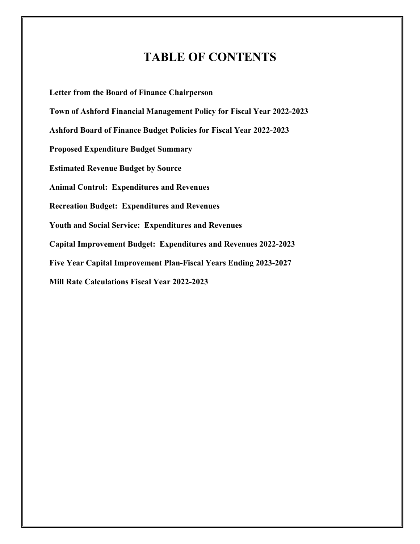## **TABLE OF CONTENTS**

**Letter from the Board of Finance Chairperson Town of Ashford Financial Management Policy for Fiscal Year 2022-2023 Ashford Board of Finance Budget Policies for Fiscal Year 2022-2023 Proposed Expenditure Budget Summary Estimated Revenue Budget by Source Animal Control: Expenditures and Revenues Recreation Budget: Expenditures and Revenues Youth and Social Service: Expenditures and Revenues Capital Improvement Budget: Expenditures and Revenues 2022-2023 Five Year Capital Improvement Plan-Fiscal Years Ending 2023-2027 Mill Rate Calculations Fiscal Year 2022-2023**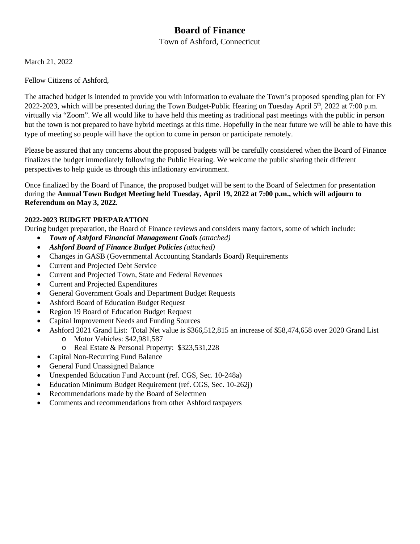## **Board of Finance**

Town of Ashford, Connecticut

March 21, 2022

Fellow Citizens of Ashford,

The attached budget is intended to provide you with information to evaluate the Town's proposed spending plan for FY 2022-2023, which will be presented during the Town Budget-Public Hearing on Tuesday April 5<sup>th</sup>, 2022 at 7:00 p.m. virtually via "Zoom". We all would like to have held this meeting as traditional past meetings with the public in person but the town is not prepared to have hybrid meetings at this time. Hopefully in the near future we will be able to have this type of meeting so people will have the option to come in person or participate remotely.

Please be assured that any concerns about the proposed budgets will be carefully considered when the Board of Finance finalizes the budget immediately following the Public Hearing. We welcome the public sharing their different perspectives to help guide us through this inflationary environment.

Once finalized by the Board of Finance, the proposed budget will be sent to the Board of Selectmen for presentation during the **Annual Town Budget Meeting held Tuesday, April 19, 2022 at 7:00 p.m., which will adjourn to Referendum on May 3, 2022.**

#### **2022-2023 BUDGET PREPARATION**

During budget preparation, the Board of Finance reviews and considers many factors, some of which include:

- *Town of Ashford Financial Management Goals (attached)*
- *Ashford Board of Finance Budget Policies (attached)*
- Changes in GASB (Governmental Accounting Standards Board) Requirements
- Current and Projected Debt Service
- Current and Projected Town, State and Federal Revenues
- Current and Projected Expenditures
- General Government Goals and Department Budget Requests
- Ashford Board of Education Budget Request
- Region 19 Board of Education Budget Request
- Capital Improvement Needs and Funding Sources
- Ashford 2021 Grand List: Total Net value is \$366,512,815 an increase of \$58,474,658 over 2020 Grand List
	- o Motor Vehicles: \$42,981,587
	- o Real Estate & Personal Property: \$323,531,228
- Capital Non-Recurring Fund Balance
- General Fund Unassigned Balance
- Unexpended Education Fund Account (ref. CGS, Sec. 10-248a)
- Education Minimum Budget Requirement (ref. CGS, Sec. 10-262j)
- Recommendations made by the Board of Selectmen
- Comments and recommendations from other Ashford taxpayers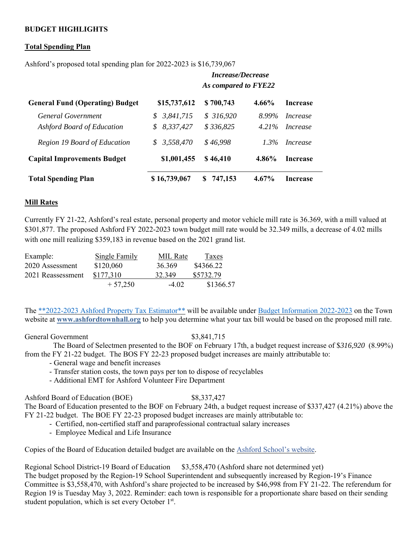#### **BUDGET HIGHLIGHTS**

#### **Total Spending Plan**

Ashford's proposed total spending plan for 2022-2023 is \$16,739,067

### *Increase/Decrease As compared to FYE22*

| Region 19 Board of Education       | 3,558,470<br>$\mathcal{S}$ | \$46,998 | $1.3\%$  | <i>Increase</i> |
|------------------------------------|----------------------------|----------|----------|-----------------|
| <b>Capital Improvements Budget</b> | \$1,001,455                | \$46.410 | $4.86\%$ | <b>Increase</b> |

#### **Mill Rates**

Currently FY 21-22, Ashford's real estate, personal property and motor vehicle mill rate is 36.369, with a mill valued at \$301,877. The proposed Ashford FY 2022-2023 town budget mill rate would be 32.349 mills, a decrease of 4.02 mills with one mill realizing \$359,183 in revenue based on the 2021 grand list.

| Example:          | <b>Single Family</b> | MIL Rate | Taxes     |
|-------------------|----------------------|----------|-----------|
| 2020 Assessment   | \$120,060            | 36.369   | \$4366.22 |
| 2021 Reassessment | \$177,310            | 32.349   | \$5732.79 |
|                   | $+57.250$            | $-4.02$  | \$1366.57 |

The \*\*2022-2023 Ashford Property Tax Estimator\*\* will be available under Budget Information 2022-2023 on the Town website at **www.ashfordtownhall.org** to help you determine what your tax bill would be based on the proposed mill rate.

General Government  $$3,841,715$ 

 The Board of Selectmen presented to the BOF on February 17th, a budget request increase of \$*316,920* (8.99%) from the FY 21-22 budget. The BOS FY 22-23 proposed budget increases are mainly attributable to:

- General wage and benefit increases
- Transfer station costs, the town pays per ton to dispose of recyclables
- Additional EMT for Ashford Volunteer Fire Department

Ashford Board of Education (BOE) \$8,337,427

The Board of Education presented to the BOF on February 24th, a budget request increase of \$337,427 (4.21%) above the FY 21-22 budget. The BOE FY 22-23 proposed budget increases are mainly attributable to:

- Certified, non-certified staff and paraprofessional contractual salary increases
- Employee Medical and Life Insurance

Copies of the Board of Education detailed budget are available on the Ashford School's website.

Regional School District-19 Board of Education \$3,558,470 (Ashford share not determined yet)

The budget proposed by the Region-19 School Superintendent and subsequently increased by Region-19's Finance Committee is \$3,558,470, with Ashford's share projected to be increased by \$46,998 from FY 21-22. The referendum for Region 19 is Tuesday May 3, 2022. Reminder: each town is responsible for a proportionate share based on their sending student population, which is set every October  $1<sup>st</sup>$ .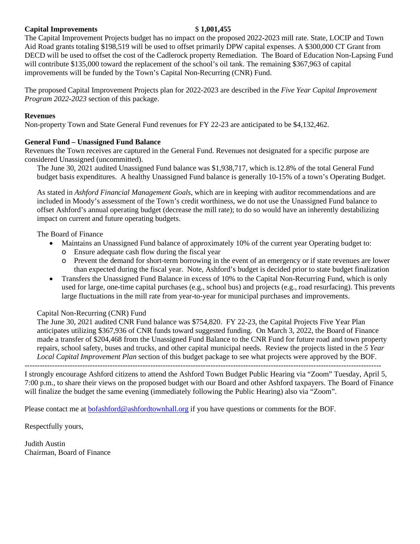#### **Capital Improvements** \$ **1,001,455**

The Capital Improvement Projects budget has no impact on the proposed 2022-2023 mill rate. State, LOCIP and Town Aid Road grants totaling \$198,519 will be used to offset primarily DPW capital expenses. A \$300,000 CT Grant from DECD will be used to offset the cost of the Cadlerock property Remediation. The Board of Education Non-Lapsing Fund will contribute \$135,000 toward the replacement of the school's oil tank. The remaining \$367,963 of capital improvements will be funded by the Town's Capital Non-Recurring (CNR) Fund.

The proposed Capital Improvement Projects plan for 2022-2023 are described in the *Five Year Capital Improvement Program 2022-2023* section of this package.

#### **Revenues**

Non-property Town and State General Fund revenues for FY 22-23 are anticipated to be \$4,132,462.

#### **General Fund – Unassigned Fund Balance**

Revenues the Town receives are captured in the General Fund. Revenues not designated for a specific purpose are considered Unassigned (uncommitted).

The June 30, 2021 audited Unassigned Fund balance was \$1,938,717, which is.12.8% of the total General Fund budget basis expenditures. A healthy Unassigned Fund balance is generally 10-15% of a town's Operating Budget.

As stated in *[Ashford Financial Management Goals](https://ashfordtownhall.org/wp-content/uploads/2021/04/Financial-Management-Policy.pdf)*, which are in keeping with auditor recommendations and are included in Moody's assessment of the Town's credit worthiness, we do not use the Unassigned Fund balance to offset Ashford's annual operating budget (decrease the mill rate); to do so would have an inherently destabilizing impact on current and future operating budgets.

The Board of Finance

- Maintains an Unassigned Fund balance of approximately 10% of the current year Operating budget to:
	- o Ensure adequate cash flow during the fiscal year
	- o Prevent the demand for short-term borrowing in the event of an emergency or if state revenues are lower than expected during the fiscal year. Note, Ashford's budget is decided prior to state budget finalization
- Transfers the Unassigned Fund Balance in excess of 10% to the Capital Non-Recurring Fund, which is only used for large, one-time capital purchases (e.g., school bus) and projects (e.g., road resurfacing). This prevents large fluctuations in the mill rate from year-to-year for municipal purchases and improvements.

#### Capital Non-Recurring (CNR) Fund

The June 30, 2021 audited CNR Fund balance was \$754,820. FY 22-23, the Capital Projects Five Year Plan anticipates utilizing \$367,936 of CNR funds toward suggested funding. On March 3, 2022, the Board of Finance made a transfer of \$204,468 from the Unassigned Fund Balance to the CNR Fund for future road and town property repairs, school safety, buses and trucks, and other capital municipal needs. Review the projects listed in the *5 Year Local Capital Improvement Plan* section of this budget package to see what projects were approved by the BOF.

---------------------------------------------------------------------------------------------------------------------------------------------- I strongly encourage Ashford citizens to attend the Ashford Town Budget Public Hearing via "Zoom" Tuesday, April 5, 7:00 p.m., to share their views on the proposed budget with our Board and other Ashford taxpayers. The Board of Finance will finalize the budget the same evening (immediately following the Public Hearing) also via "Zoom".

Please contact me at [bofashford@ashfordtownhall.org](mailto:bofashford@ashfordtownhall.org) if you have questions or comments for the BOF.

Respectfully yours,

Judith Austin Chairman, Board of Finance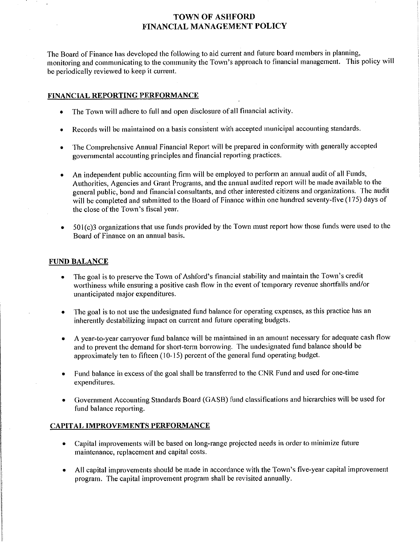#### **TOWN OF ASHFORD FINANCIAL MANAGEMENT POLICY**

The Board of Finance has developed the following to aid current and future board members in planning, monitoring and communicating to the community the Town's approach to financial management. This policy will be periodically reviewed to keep it current.

#### **FINANCIAL REPORTING PERFORMANCE**

- The Town will adhere to full and open disclosure of all financial activity.
- Records will be maintained on a basis consistent with accepted municipal accounting standards.
- The Comprehensive Annual Financial Report will be prepared in conformity with generally accepted governmental accounting principles and financial reporting practices.
- An independent public accounting firm will be employed to perform an annual audit of all Funds,  $\bullet$ Authorities, Agencies and Grant Programs, and the annual audited report will be made available to the general public, bond and financial consultants, and other interested citizens and organizations. The audit will be completed and submitted to the Board of Finance within one hundred seventy-five (175) days of the close of the Town's fiscal year.
- $501(c)$ 3 organizations that use funds provided by the Town must report how those funds were used to the Board of Finance on an annual basis.

#### **FUND BALANCE**

- The goal is to preserve the Town of Ashford's financial stability and maintain the Town's credit worthiness while ensuring a positive cash flow in the event of temporary revenue shortfalls and/or unanticipated major expenditures.
- The goal is to not use the undesignated fund balance for operating expenses, as this practice has an  $\bullet$ inherently destabilizing impact on current and future operating budgets.
- A year-to-year carryover fund balance will be maintained in an amount necessary for adequate cash flow and to prevent the demand for short-term borrowing. The undesignated fund balance should be approximately ten to fifteen (10-15) percent of the general fund operating budget.
- Fund balance in excess of the goal shall be transferred to the CNR Fund and used for one-time expenditures.
- Government Accounting Standards Board (GASB) fund classifications and hierarchies will be used for fund balance reporting.

#### **CAPITAL IMPROVEMENTS PERFORMANCE**

- Capital improvements will be based on long-range projected needs in order to minimize future  $\bullet$ maintenance, replacement and capital costs.
- All capital improvements should be made in accordance with the Town's five-year capital improvement program. The capital improvement program shall be revisited annually.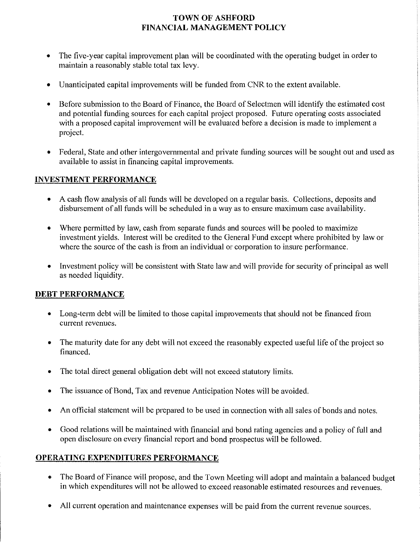#### **TOWN OF ASHFORD FINANCIAL MANAGEMENT POLICY**

- The five-year capital improvement plan will be coordinated with the operating budget in order to  $\bullet$ maintain a reasonably stable total tax levy.
- Unanticipated capital improvements will be funded from CNR to the extent available.  $\bullet$
- Before submission to the Board of Finance, the Board of Selectmen will identify the estimated cost  $\bullet$ and potential funding sources for each capital project proposed. Future operating costs associated with a proposed capital improvement will be evaluated before a decision is made to implement a project.
- Federal, State and other intergovernmental and private funding sources will be sought out and used as available to assist in financing capital improvements.

#### **INVESTMENT PERFORMANCE**

- A cash flow analysis of all funds will be developed on a regular basis. Collections, deposits and  $\bullet$ disbursement of all funds will be scheduled in a way as to ensure maximum case availability.
- Where permitted by law, cash from separate funds and sources will be pooled to maximize  $\bullet$ investment yields. Interest will be credited to the General Fund except where prohibited by law or where the source of the cash is from an individual or corporation to insure performance.
- Investment policy will be consistent with State law and will provide for security of principal as well  $\bullet$ as needed liquidity.

#### **DEBT PERFORMANCE**

- Long-term debt will be limited to those capital improvements that should not be financed from  $\bullet$ current revenues.
- The maturity date for any debt will not exceed the reasonably expected useful life of the project so financed.
- The total direct general obligation debt will not exceed statutory limits.
- The issuance of Bond, Tax and revenue Anticipation Notes will be avoided.  $\bullet$
- An official statement will be prepared to be used in connection with all sales of bonds and notes.  $\bullet$
- $\bullet$ Good relations will be maintained with financial and bond rating agencies and a policy of full and open disclosure on every financial report and bond prospectus will be followed.

#### **OPERATING EXPENDITURES PERFORMANCE**

- The Board of Finance will propose, and the Town Meeting will adopt and maintain a balanced budget  $\bullet$ in which expenditures will not be allowed to exceed reasonable estimated resources and revenues.
- All current operation and maintenance expenses will be paid from the current revenue sources.  $\bullet$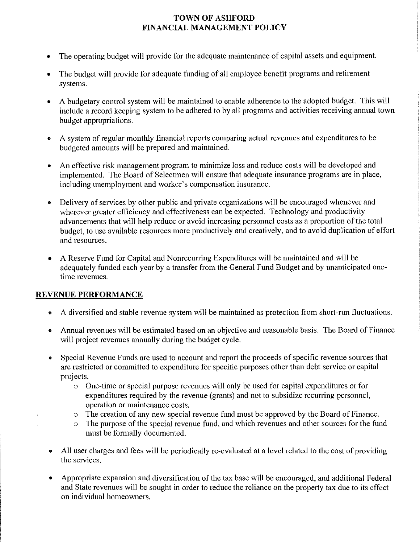#### **TOWN OF ASHFORD** FINANCIAL MANAGEMENT POLICY

- The operating budget will provide for the adequate maintenance of capital assets and equipment.  $\bullet$
- The budget will provide for adequate funding of all employee benefit programs and retirement  $\bullet$ systems.
- A budgetary control system will be maintained to enable adherence to the adopted budget. This will include a record keeping system to be adhered to by all programs and activities receiving annual town budget appropriations.
- A system of regular monthly financial reports comparing actual revenues and expenditures to be  $\bullet$ budgeted amounts will be prepared and maintained.
- An effective risk management program to minimize loss and reduce costs will be developed and  $\bullet$ implemented. The Board of Selectmen will ensure that adequate insurance programs are in place, including unemployment and worker's compensation insurance.
- Delivery of services by other public and private organizations will be encouraged whenever and  $\bullet$ wherever greater efficiency and effectiveness can be expected. Technology and productivity advancements that will help reduce or avoid increasing personnel costs as a proportion of the total budget, to use available resources more productively and creatively, and to avoid duplication of effort and resources.
- A Reserve Fund for Capital and Nonrecurring Expenditures will be maintained and will be  $\bullet$ adequately funded each year by a transfer from the General Fund Budget and by unanticipated onetime revenues.

#### **REVENUE PERFORMANCE**

- A diversified and stable revenue system will be maintained as protection from short-run fluctuations.  $\bullet$
- Annual revenues will be estimated based on an objective and reasonable basis. The Board of Finance  $\bullet$ will project revenues annually during the budget cycle.
- Special Revenue Funds are used to account and report the proceeds of specific revenue sources that  $\bullet$ are restricted or committed to expenditure for specific purposes other than debt service or capital projects.
	- o One-time or special purpose revenues will only be used for capital expenditures or for expenditures required by the revenue (grants) and not to subsidize recurring personnel, operation or maintenance costs.
	- o The creation of any new special revenue fund must be approved by the Board of Finance.
	- o The purpose of the special revenue fund, and which revenues and other sources for the fund must be formally documented.
- All user charges and fees will be periodically re-evaluated at a level related to the cost of providing  $\bullet$ the services.
- Appropriate expansion and diversification of the tax base will be encouraged, and additional Federal  $\bullet$ and State revenues will be sought in order to reduce the reliance on the property tax due to its effect on individual homeowners.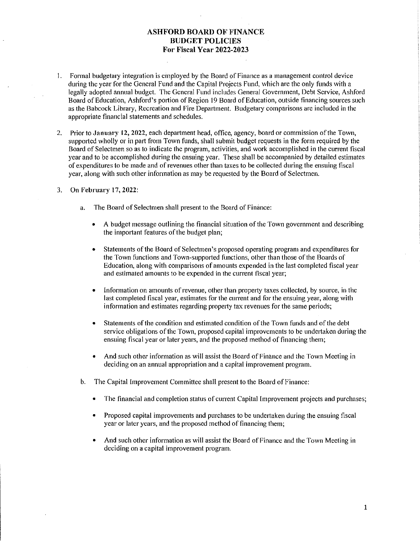#### **ASHFORD BOARD OF FINANCE BUDGET POLICIES** For Fiscal Year 2022-2023

- 1. Formal budgetary integration is employed by the Board of Finance as a management control device during the year for the General Fund and the Capital Projects Fund, which are the only funds with a legally adopted annual budget. The General Fund includes General Government, Debt Service, Ashford Board of Education, Ashford's portion of Region 19 Board of Education, outside financing sources such as the Babcock Library, Recreation and Fire Department. Budgetary comparisons are included in the appropriate financial statements and schedules.
- Prior to January 12, 2022, each department head, office, agency, board or commission of the Town,  $2.$ supported wholly or in part from Town funds, shall submit budget requests in the form required by the Board of Selectmen so as to indicate the program, activities, and work accomplished in the current fiscal year and to be accomplished during the ensuing year. These shall be accompanied by detailed estimates of expenditures to be made and of revenues other than taxes to be collected during the ensuing fiscal year, along with such other information as may be requested by the Board of Selectmen.
- On February 17, 2022:  $3.$ 
	- The Board of Selectmen shall present to the Board of Finance: a.
		- A budget message outlining the financial situation of the Town government and describing the important features of the budget plan;
		- Statements of the Board of Selectmen's proposed operating program and expenditures for  $\bullet$ the Town functions and Town-supported functions, other than those of the Boards of Education, along with comparisons of amounts expended in the last completed fiscal year and estimated amounts to be expended in the current fiscal year;
		- Information on amounts of revenue, other than property taxes collected, by source, in the last completed fiscal year, estimates for the current and for the ensuing year, along with information and estimates regarding property tax revenues for the same periods;
		- Statements of the condition and estimated condition of the Town funds and of the debt  $\bullet$ service obligations of the Town, proposed capital improvements to be undertaken during the ensuing fiscal year or later years, and the proposed method of financing them;
		- And such other information as will assist the Board of Finance and the Town Meeting in  $\bullet$ deciding on an annual appropriation and a capital improvement program.
	- The Capital Improvement Committee shall present to the Board of Finance: b.
		- The financial and completion status of current Capital Improvement projects and purchases;
		- Proposed capital improvements and purchases to be undertaken during the ensuing fiscal year or later years, and the proposed method of financing them;
		- And such other information as will assist the Board of Finance and the Town Meeting in  $\bullet$ deciding on a capital improvement program.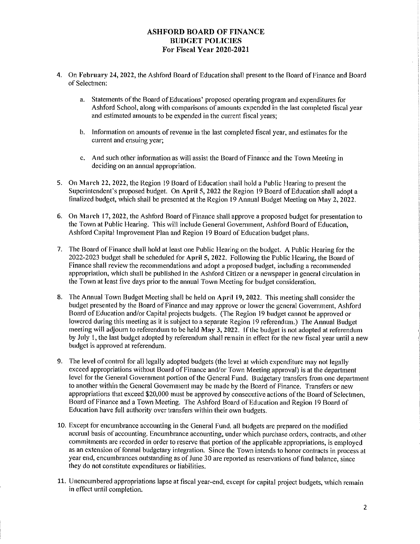#### **ASHFORD BOARD OF FINANCE BUDGET POLICIES** For Fiscal Year 2020-2021

- 4. On February 24, 2022, the Ashford Board of Education shall present to the Board of Finance and Board of Selectmen:
	- a. Statements of the Board of Educations' proposed operating program and expenditures for Ashford School, along with comparisons of amounts expended in the last completed fiscal year and estimated amounts to be expended in the current fiscal years;
	- b. Information on amounts of revenue in the last completed fiscal year, and estimates for the current and ensuing year;
	- c. And such other information as will assist the Board of Finance and the Town Meeting in deciding on an annual appropriation.
- 5. On March 22, 2022, the Region 19 Board of Education shall hold a Public Hearing to present the Superintendent's proposed budget. On April 5, 2022 the Region 19 Board of Education shall adopt a finalized budget, which shall be presented at the Region 19 Annual Budget Meeting on May 2, 2022.
- 6. On March 17, 2022, the Ashford Board of Finance shall approve a proposed budget for presentation to the Town at Public Hearing. This will include General Government, Ashford Board of Education, Ashford Capital Improvement Plan and Region 19 Board of Education budget plans.
- 7. The Board of Finance shall hold at least one Public Hearing on the budget. A Public Hearing for the 2022-2023 budget shall be scheduled for April 5, 2022. Following the Public Hearing, the Board of Finance shall review the recommendations and adopt a proposed budget, including a recommended appropriation, which shall be published in the Ashford Citizen or a newspaper in general circulation in the Town at least five days prior to the annual Town Meeting for budget consideration.
- 8. The Annual Town Budget Meeting shall be held on April 19, 2022. This meeting shall consider the budget presented by the Board of Finance and may approve or lower the general Government, Ashford Board of Education and/or Capital projects budgets. (The Region 19 budget cannot be approved or lowered during this meeting as it is subject to a separate Region 19 referendum.) The Annual Budget meeting will adjourn to referendum to be held May 3, 2022. If the budget is not adopted at referendum by July 1, the last budget adopted by referendum shall remain in effect for the new fiscal year until a new budget is approved at referendum.
- q The level of control for all legally adopted budgets (the level at which expenditure may not legally exceed appropriations without Board of Finance and/or Town Meeting approval) is at the department level for the General Government portion of the General Fund. Budgetary transfers from one department to another within the General Government may be made by the Board of Finance. Transfers or new appropriations that exceed \$20,000 must be approved by consecutive actions of the Board of Selectmen. Board of Finance and a Town Meeting. The Ashford Board of Education and Region 19 Board of Education have full authority over transfers within their own budgets.
- 10. Except for encumbrance accounting in the General Fund, all budgets are prepared on the modified accrual basis of accounting. Encumbrance accounting, under which purchase orders, contracts, and other commitments are recorded in order to reserve that portion of the applicable appropriations, is employed as an extension of formal budgetary integration. Since the Town intends to honor contracts in process at year end, encumbrances outstanding as of June 30 are reported as reservations of fund balance, since they do not constitute expenditures or liabilities.
- 11. Unencumbered appropriations lapse at fiscal year-end, except for capital project budgets, which remain in effect until completion.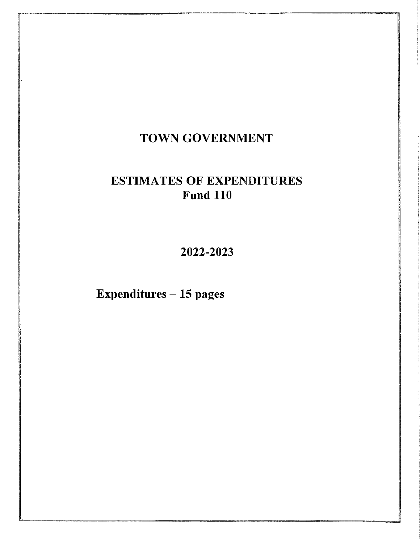## TOWN GOVERNMENT

# **ESTIMATES OF EXPENDITURES Fund 110**

2022-2023

Expenditures  $-15$  pages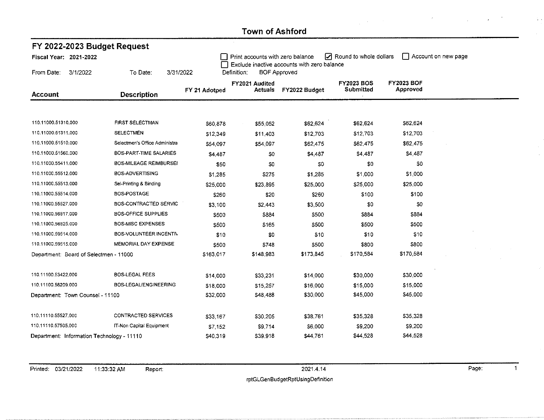$\label{eq:2.1} \frac{1}{\sqrt{2\pi}}\left(\frac{1}{\sqrt{2\pi}}\right)^{1/2}\left(\frac{1}{\sqrt{2\pi}}\right)^{1/2}\left(\frac{1}{\sqrt{2\pi}}\right)^{1/2}\left(\frac{1}{\sqrt{2\pi}}\right)^{1/2}\left(\frac{1}{\sqrt{2\pi}}\right)^{1/2}\left(\frac{1}{\sqrt{2\pi}}\right)^{1/2}\left(\frac{1}{\sqrt{2\pi}}\right)^{1/2}\left(\frac{1}{\sqrt{2\pi}}\right)^{1/2}\left(\frac{1}{\sqrt{2\pi}}\right)^{1/2}\left(\frac{1}{\sqrt{$ 

 $\hat{\rho}$ 

| FY 2022-2023 Budget Request                |                               |               |                                  |                                                                    |                                |                               |                     |  |
|--------------------------------------------|-------------------------------|---------------|----------------------------------|--------------------------------------------------------------------|--------------------------------|-------------------------------|---------------------|--|
| <b>Fiscal Year: 2021-2022</b>              |                               |               | Print accounts with zero balance |                                                                    | Round to whole dollars         |                               | Account on new page |  |
| 3/1/2022<br>From Date:                     | 3/31/2022<br>To Date:         |               | Definition:                      | Exclude inactive accounts with zero balance<br><b>BOF Approved</b> |                                |                               |                     |  |
| <b>Account</b>                             | <b>Description</b>            | FY 21 Adotped | FY2021 Audited<br><b>Actuals</b> | FY2022 Budget                                                      | <b>FY2023 BOS</b><br>Submitted | <b>FY2023 BOF</b><br>Approved |                     |  |
|                                            |                               |               |                                  |                                                                    |                                |                               |                     |  |
| 110.11000.51310.000                        | <b>FIRST SELECTMAN</b>        | \$60,878      | \$55,052                         | \$62,624                                                           | \$62,624                       | \$62,624                      |                     |  |
| 110.11000.51311.000                        | <b>SELECTMEN</b>              | \$12,349      | \$11,403                         | \$12,703                                                           | \$12,703                       | \$12,703                      |                     |  |
| 110.11000.51510.000                        | Selectmen's Office Administra | \$54,097      | \$54,097                         | \$62,475                                                           | \$62,475                       | \$62,475                      |                     |  |
| 110.11000.51560.000                        | BOS-PART-TIME SALARIES        | \$4,487       | \$0                              | \$4,487                                                            | \$4,487                        | \$4,487                       |                     |  |
| 110.11000.55411.000                        | BOS-MILEAGE REIMBURSEI        | \$50          | \$0                              | \$0                                                                | \$0                            | \$0                           |                     |  |
| 110.11000.55512.000                        | BOS-ADVERTISING               | \$1,285       | \$275                            | \$1,285                                                            | \$1,000                        | \$1,000                       |                     |  |
| 110,11000,55513,000                        | Sel-Printing & Binding        | \$25,000      | \$23,895                         | \$25,000                                                           | \$25,000                       | \$25,000                      |                     |  |
| 110.11000.55514.000                        | <b>BOS-POSTAGE</b>            | \$260         | \$20                             | \$260                                                              | \$100                          | \$100                         |                     |  |
| 110.11000.55527.000                        | BOS-CONTRACTED SERVIC         | \$3,100       | \$2,443                          | \$3,500                                                            | \$0                            | \$0                           |                     |  |
| 110.11000.56817.000                        | <b>BOS-OFFICE SUPPLIES</b>    | \$500         | \$884                            | \$500                                                              | \$884                          | \$884                         |                     |  |
| 110.11000,56825.000                        | <b>BOS-MISC EXPENSES</b>      | \$500         | \$165                            | \$500                                                              | \$500                          | \$500                         |                     |  |
| 110.11000.59514.000                        | BOS-VOLUNTEER INCENTIV        | \$10          | \$0                              | \$10                                                               | \$10                           | \$10                          |                     |  |
| 110.11000.59515.000                        | MEMORIAL DAY EXPENSE          | \$500         | \$748                            | \$500                                                              | \$800                          | \$800                         |                     |  |
| Department: Board of Selectmen - 11000     |                               | \$163,017     | \$148,983                        | \$173,845                                                          | \$170,584                      | \$170,584                     |                     |  |
| 110.11100.53422.000                        | <b>BOS-LEGAL FEES</b>         | \$14,000      | \$33,231                         | \$14,000                                                           | \$30,000                       | \$30,000                      |                     |  |
| 110.11100.58209.000                        | BOS-LEGAL/ENGINEERING         | \$18,000      | \$15,257                         | \$16,000                                                           | \$15,000                       | \$15,000                      |                     |  |
| Department: Town Counsel - 11100           |                               | \$32,000      | \$48,488                         | \$30,000                                                           | \$45,000                       | \$45,000                      |                     |  |
| 110.11110.55527.000                        | CONTRACTED SERVICES           | \$33,167      | \$30,205                         | \$38,761                                                           | \$35,328                       | \$35,328                      |                     |  |
| 110.11110.57505.000                        | IT-Non Capital Equipment      | \$7,152       | \$9,714                          | \$6,000                                                            | \$9,200                        | \$9,200                       |                     |  |
| Department: Information Technology - 11110 |                               | \$40,319      | \$39,918                         | \$44,761                                                           | \$44,528                       | \$44,528                      |                     |  |

 $\overline{1}$ 

 $\sim$ 

 $\sim$ 

 $\mathcal{A}^{\mathcal{A}}$  .

 $\sim$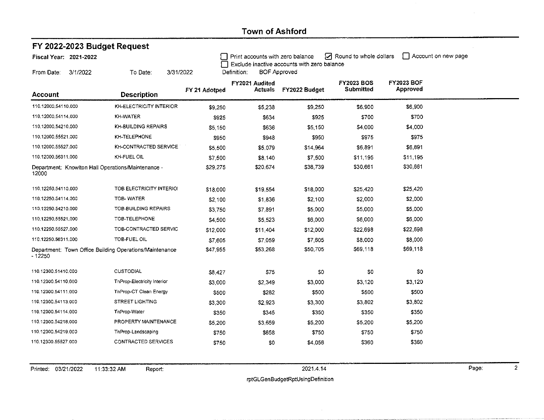| FY 2022-2023 Budget Request                                        |                             |               |                                  |                                             |                                       |                               |                     |
|--------------------------------------------------------------------|-----------------------------|---------------|----------------------------------|---------------------------------------------|---------------------------------------|-------------------------------|---------------------|
| Fiscal Year: 2021-2022                                             |                             |               | Print accounts with zero balance | Exclude inactive accounts with zero balance | Round to whole dollars                | l 1                           | Account on new page |
| From Date:<br>3/1/2022                                             | 3/31/2022<br>To Date:       |               | Definition:                      | <b>BOF Approved</b>                         |                                       |                               |                     |
| Account                                                            | <b>Description</b>          | FY 21 Adotped | FY2021 Audited<br><b>Actuals</b> | FY2022 Budget                               | <b>FY2023 BOS</b><br><b>Submitted</b> | <b>FY2023 BOF</b><br>Approved |                     |
| 110.12000.54110.000                                                | KH-ELECTRICITY INTERIOR     | \$9,250       | \$5,238                          | \$9,250                                     | \$6,900                               | \$6,900                       |                     |
| 110,12000,54114,000                                                | KH-WATER                    | \$925         | \$634                            | \$925                                       | \$700                                 | \$700                         |                     |
| 110.12000.54210.000                                                | KH-BUILDING REPAIRS         | \$5,150       | \$636                            | \$5,150                                     | \$4,000                               | \$4,000                       |                     |
| 110.12000.55521.000                                                | KH-TELEPHONE                | \$950         | \$948                            | \$950                                       | \$975                                 | \$975                         |                     |
| 110.12000.55527.000                                                | KH-CONTRACTED SERVICE       | \$5,500       | \$5,079                          | \$14,964                                    | \$6,891                               | \$6,891                       |                     |
| 110.12000.56311.000                                                | KH-FUEL OIL                 | \$7,500       | \$8.140                          | \$7,500                                     | \$11,195                              | \$11,195                      |                     |
| Department: Knowlton Hall Operations/Maintenance -<br>12000        |                             | \$29,275      | \$20,674                         | \$38,739                                    | \$30,661                              | \$30,661                      |                     |
| 110.12250.54110.000                                                | TOB ELECTRICITY INTERIOI    | \$18,000      | \$19,554                         | \$18,000                                    | \$25,420                              | \$25,420                      |                     |
| 110.12250.54114.000                                                | TOB-WATER                   | \$2,100       | \$1,836                          | \$2,100                                     | \$2,000                               | \$2,000                       |                     |
| 110.12250.54210.000                                                | TOB-BUILDING REPAIRS        | \$3,750       | \$7,891                          | \$5,000                                     | \$5,000                               | \$5,000                       |                     |
| 110,12250,55521,000                                                | TOB-TELEPHONE               | \$4,500       | \$5,523                          | \$6,000                                     | \$6,000                               | \$6,000                       |                     |
| 110.12250.55527.000                                                | TOB-CONTRACTED SERVIC       | \$12,000      | \$11,404                         | \$12,000                                    | \$22,698                              | \$22,698                      |                     |
| 110.12250.56311.000                                                | TOB-FUEL OIL                | \$7,605       | \$7,059                          | \$7,605                                     | \$8,000                               | \$8,000                       |                     |
| Department: Town Office Building Operations/Maintenance<br>- 12250 |                             | \$47,955      | \$53,268                         | \$50,705                                    | \$69,118                              | \$69,118                      |                     |
| 110.12300.51410.000                                                | <b>CUSTODIAL</b>            | \$8,427       | \$75                             | \$0                                         | \$0                                   | \$0                           |                     |
| 110.12300.54110.000                                                | TnProp-Electricity Interior | \$3,000       | \$2,349                          | \$3,000                                     | \$3,120                               | \$3,120                       |                     |
| 110.12300.54111.000                                                | TnProp-CT Clean Energy      | \$500         | \$282                            | \$500                                       | \$500                                 | \$500                         |                     |
| 110,12300,54113,000                                                | <b>STREET LIGHTING</b>      | \$3,300       | \$2,923                          | \$3,300                                     | \$3,802                               | \$3,802                       |                     |
| 110.12300.54114.000                                                | TnProp-Water                | \$350         | \$345                            | \$350                                       | \$350                                 | \$350                         |                     |
| 110.12300.54218,000                                                | PROPERTY MAINTENANCE        | \$5,200       | \$3,659                          | \$5,200                                     | \$5,200                               | \$5,200                       |                     |
| 110.12300.54219.000                                                | TnProp-Landscaping          | \$750         | \$658                            | \$750                                       | \$750                                 | \$750                         |                     |
| 110.12300.55527.000                                                | CONTRACTED SERVICES         | \$750         | \$0                              | \$4,056                                     | \$360                                 | \$360                         |                     |

Report:

2021.4.14

Page:

rptGLGenBudgetRptUsingDefinition

 $\overline{2}$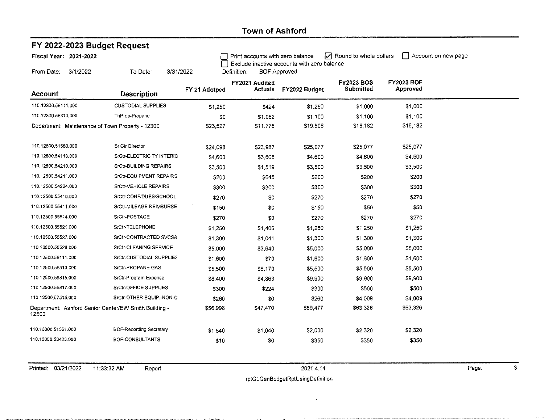|                                                                | FY 2022-2023 Budget Request    |               |                                    |                                             |                                |                               |                     |  |  |  |  |
|----------------------------------------------------------------|--------------------------------|---------------|------------------------------------|---------------------------------------------|--------------------------------|-------------------------------|---------------------|--|--|--|--|
| Fiscal Year: 2021-2022                                         |                                |               | Print accounts with zero balance   | Exclude inactive accounts with zero balance | Round to whole dollars         |                               | Account on new page |  |  |  |  |
| From Date:<br>3/1/2022                                         | To Date:<br>3/31/2022          |               | Definition:<br><b>BOF Approved</b> |                                             |                                |                               |                     |  |  |  |  |
| Account                                                        | Description                    | FY 21 Adotped | FY2021 Audited<br>Actuals          | FY2022 Budget                               | <b>FY2023 BOS</b><br>Submitted | <b>FY2023 BOF</b><br>Approved |                     |  |  |  |  |
| 110,12300,56111,000                                            | <b>CUSTODIAL SUPPLIES</b>      | \$1,250       | \$424                              | \$1,250                                     | \$1,000                        | \$1,000                       |                     |  |  |  |  |
| 110.12300.56313.000                                            | TnProp-Propane                 | \$0           | \$1,062                            | \$1,100                                     | \$1,100                        | \$1,100                       |                     |  |  |  |  |
| Department: Maintenance of Town Property - 12300               |                                | \$23,527      | \$11,776                           | \$19,506                                    | \$16,182                       | \$16,182                      |                     |  |  |  |  |
| 110.12500.51560.000                                            | Sr Ctr Director                | \$24,098      | \$23,987                           | \$25,077                                    | \$25,077                       | \$25,077                      |                     |  |  |  |  |
| 110.12500.54110.000                                            | SrCtr-ELECTRICITY INTERIC      | \$4,600       | \$3,606                            | \$4,600                                     | \$4,600                        | \$4,600                       |                     |  |  |  |  |
| 110.12500.54210.000                                            | SrCtr-BUILDING REPAIRS         | \$3,500       | \$1,519                            | \$3,500                                     | \$3,500                        | \$3,500                       |                     |  |  |  |  |
| 110.12500.54211.000                                            | SrCtr-EQUIPMENT REPAIRS        | \$200         | \$645                              | \$200                                       | \$200                          | \$200                         |                     |  |  |  |  |
| 110.12500.54224.000                                            | <b>SrCtr-VEHICLE REPAIRS</b>   | \$300         | \$300                              | \$300                                       | \$300                          | \$300                         |                     |  |  |  |  |
| 110.12500.55410.000                                            | SrCtr-CONF/DUES/SCHOOL         | \$270         | \$0                                | \$270                                       | \$270                          | \$270                         |                     |  |  |  |  |
| 110.12500,55411.000                                            | SrCtr-MILEAGE REIMBURSE        | \$150         | \$0                                | \$150                                       | \$50                           | \$50                          |                     |  |  |  |  |
| 110.12500.55514.000                                            | SrCtr-POSTAGE                  | \$270         | \$0                                | \$270                                       | \$270                          | \$270                         |                     |  |  |  |  |
| 110.12500.55521.000                                            | SrCtr-TELEPHONE                | \$1,250       | \$1,406                            | \$1,250                                     | \$1,250                        | \$1,250                       |                     |  |  |  |  |
| 110.12500.55527.000                                            | SrCtr-CONTRACTED SVCS&         | \$1,300       | \$1,041                            | \$1,300                                     | \$1,300                        | \$1,300                       |                     |  |  |  |  |
| 110.12500.55528.000                                            | SrCti-CLEANING SERVICE         | \$5,000       | \$3,640                            | \$5,000                                     | \$5,000                        | \$5,000                       |                     |  |  |  |  |
| 110,12500,56111,000                                            | SrCtr-CUSTODIAL SUPPLIES       | \$1,600       | \$70                               | \$1,600                                     | \$1,600                        | \$1,600                       |                     |  |  |  |  |
| 110.12500.56313.000                                            | SrCtr-PROPANE GAS              | \$5,500       | \$6,170                            | \$5,500                                     | \$5,500                        | \$5,500                       |                     |  |  |  |  |
| 110.12500.56815.000                                            | SrCtr-Program Expense          | \$8,400       | \$4,863                            | \$9,900                                     | \$9,900                        | \$9,900                       |                     |  |  |  |  |
| 110.12500.56817.000                                            | SrCtr-OFFICE SUPPLIES          | \$300         | \$224                              | \$300                                       | \$500                          | \$500                         |                     |  |  |  |  |
| 110,12500,57515,000                                            | S.Ctr-OTHER EQUIP.-NON-C       | \$260         | \$0                                | \$260                                       | \$4,009                        | \$4,009                       |                     |  |  |  |  |
| Department: Ashford Senior Center/EW Smith Building -<br>12500 |                                | \$56,998      | \$47,470                           | \$59,477                                    | \$63,326                       | \$63,326                      |                     |  |  |  |  |
| 110.13000.51561.000                                            | <b>BOF-Recording Secretary</b> | \$1,840       | \$1,040                            | \$2,000                                     | \$2,320                        | \$2,320                       |                     |  |  |  |  |
| 110.13000.53423.000                                            | BOF-CONSULTANTS                | \$10          | \$0                                | \$350                                       | \$350                          | \$350                         |                     |  |  |  |  |

2021.4.14

rptGLGenBudgetRptUsingDefinition

 $\mathbf{3}$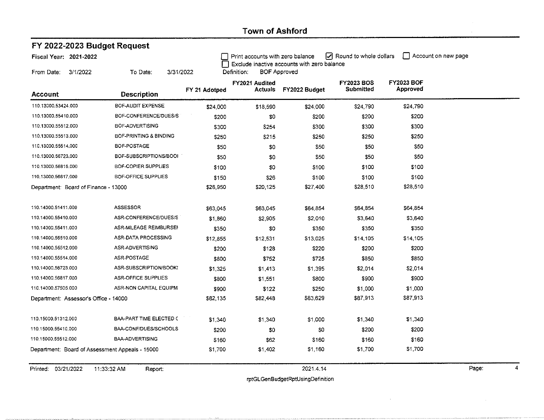|                                                 | FY 2022-2023 Budget Request |               |                                                            |                     |                        |                   |                     |  |  |  |  |
|-------------------------------------------------|-----------------------------|---------------|------------------------------------------------------------|---------------------|------------------------|-------------------|---------------------|--|--|--|--|
| Fiscal Year: 2021-2022                          |                             |               | Print accounts with zero balance                           |                     | Round to whole dollars |                   | Account on new page |  |  |  |  |
| From Date:<br>3/1/2022                          | To Date:<br>3/31/2022       |               | Exclude inactive accounts with zero balance<br>Definition: | <b>BOF Approved</b> |                        |                   |                     |  |  |  |  |
|                                                 |                             |               | FY2021 Audited                                             |                     | <b>FY2023 BOS</b>      | <b>FY2023 BOF</b> |                     |  |  |  |  |
| <b>Account</b>                                  | <b>Description</b>          | FY 21 Adotped | <b>Actuals</b>                                             | FY2022 Budget       | Submitted              | Approved          |                     |  |  |  |  |
| 110.13000.53424.000                             | BOF-AUDIT EXPENSE           | \$24,000      | \$18,590                                                   | \$24,000            | \$24,790               | \$24,790          |                     |  |  |  |  |
| 110.13000.55410.000                             | BOF-CONFERENCE/DUES/S       | \$200         | \$0                                                        | \$200               | \$200                  | \$200             |                     |  |  |  |  |
| 110.13000.55512.000                             | BOF-ADVERTISING             | \$300         | \$254                                                      | \$300               | \$300                  | \$300             |                     |  |  |  |  |
| 110.13000.55513.000                             | BOF-PRINTING & BINDING      | \$250         | \$215                                                      | \$250               | \$250                  | \$250             |                     |  |  |  |  |
| 110.13000.55514.000                             | BOF-POSTAGE                 | \$50          | \$0                                                        | \$50                | \$50                   | \$50              |                     |  |  |  |  |
| 110.13000,56723,000                             | BOF-SUBSCRIPTIONS/BOOI      | \$50          | \$0                                                        | \$50                | \$50                   | \$50              |                     |  |  |  |  |
| 110.13000.56816.000                             | <b>BOF-COPIER SUPPLIES</b>  | \$100         | \$0                                                        | \$100               | \$100                  | \$100             |                     |  |  |  |  |
| 110.13000,56817.000                             | BOF-OFFICE SUPPLIES         | \$150         | \$26.                                                      | \$100               | \$100                  | \$100             |                     |  |  |  |  |
| Department: Board of Finance - 13000            |                             | \$26,950      | \$20,125                                                   | \$27,400            | \$28,510               | \$28,510          |                     |  |  |  |  |
|                                                 |                             |               |                                                            |                     |                        |                   |                     |  |  |  |  |
| 110.14000.51411.000                             | <b>ASSESSOR</b>             | \$63,045      | \$63,045                                                   | \$64 854            | \$64,854               | \$64,854          |                     |  |  |  |  |
| 110.14000.55410.000                             | ASR-CONFERENCE/DUES/S       | \$1,860       | \$2,905                                                    | \$2,010             | \$3,640                | \$3,640           |                     |  |  |  |  |
| 110.14000,55411.000                             | ASR-MILEAGE REIMBURSEI      | \$350         | \$0                                                        | \$350               | \$350                  | \$350             |                     |  |  |  |  |
| 110.14000.55510.000                             | ASR-DATA PROCESSING         | \$12,855      | \$12,531                                                   | \$13,025            | \$14,105               | \$14,105          |                     |  |  |  |  |
| 110.14000.55512.000                             | ASR-ADVERTISING             | \$200         | \$128                                                      | \$220               | \$200                  | \$200             |                     |  |  |  |  |
| 110.14000.55514.000                             | ASR-POSTAGE                 | \$800         | \$752                                                      | \$725               | \$850                  | \$850             |                     |  |  |  |  |
| 110.14000.56723.000                             | ASR-SUBSCRIPTION/BOOK!      | \$1,325       | \$1,413                                                    | \$1,395             | \$2,014                | \$2,014           |                     |  |  |  |  |
| 110.14000.56817.000                             | ASR-OFFICE SUPPLIES         | \$800         | \$1,551                                                    | \$800               | \$900                  | \$900             |                     |  |  |  |  |
| 110.14000.57505.000                             | ASR-NON CAPITAL EQUIPM      | \$900         | \$122                                                      | \$250               | \$1,000                | \$1,000           |                     |  |  |  |  |
| Department: Assessor's Office - 14000           |                             | \$82,135      | \$82,448                                                   | \$83,629            | \$87,913               | \$87,913          |                     |  |  |  |  |
|                                                 |                             |               |                                                            |                     |                        |                   |                     |  |  |  |  |
| 110.15000.51312.000                             | BAA-PART TIME ELECTED (     | \$1,340       | \$1,340                                                    | \$1,000             | \$1,340                | \$1,340           |                     |  |  |  |  |
| 110.15000.55410,000                             | BAA-CONF/DUES/SCHOOLS       | \$200         | \$0                                                        | \$0                 | \$200                  | \$200             |                     |  |  |  |  |
| 110.15000.55512.000                             | <b>BAA-ADVERTISING</b>      | \$160         | \$62                                                       | \$160               | \$160                  | \$160             |                     |  |  |  |  |
| Department: Board of Assessment Appeals - 15000 |                             | \$1.700       | \$1,402                                                    | \$1,160             | \$1,700                | \$1,700           |                     |  |  |  |  |
|                                                 |                             |               |                                                            |                     |                        |                   |                     |  |  |  |  |

Printed: 03/21/2022 11:33:32 AM

Report:

 $20214.14$ 

Page:

 $\overline{\mathbf{4}}$ 

 $\sim$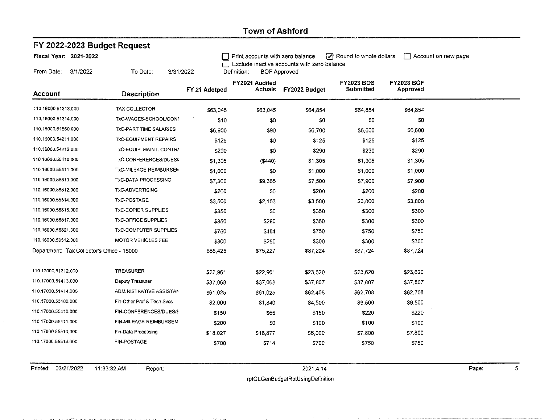$\sim$ 

|                                            | FY 2022-2023 Budget Request   |               |                                  |                                                                    |                        |                   |                     |  |  |  |  |
|--------------------------------------------|-------------------------------|---------------|----------------------------------|--------------------------------------------------------------------|------------------------|-------------------|---------------------|--|--|--|--|
| Fiscal Year: 2021-2022                     |                               |               | Print accounts with zero balance |                                                                    | Round to whole dollars |                   | Account on new page |  |  |  |  |
| From Date:<br>3/1/2022                     | To Date:<br>3/31/2022         |               | Definition:                      | Exclude inactive accounts with zero balance<br><b>BOF Approved</b> |                        |                   |                     |  |  |  |  |
|                                            |                               |               | FY2021 Audited                   |                                                                    | <b>FY2023 BOS</b>      | <b>FY2023 BOF</b> |                     |  |  |  |  |
| <b>Account</b>                             | <b>Description</b>            | FY 21 Adotped | <b>Actuals</b>                   | FY2022 Budget                                                      | Submitted              | Approved          |                     |  |  |  |  |
| 110.16000.51313.000                        | <b>TAX COLLECTOR</b>          | \$63,045      | \$63,045                         | \$64,854                                                           | \$64,854               | \$64,854          |                     |  |  |  |  |
| 110.16000.51314.000                        | TxC-WAGES-SCHOOL/CONF         | \$10          | \$0                              | \$0                                                                | \$0                    | \$0               |                     |  |  |  |  |
| 110.16000.51560.000                        | <b>TXC-PART TIME SALARIES</b> | \$6,900       | \$90                             | \$6,700                                                            | \$6,600                | \$6,600           |                     |  |  |  |  |
| 110.16000.54211.000                        | <b>TXC-EQUIPMENT REPAIRS</b>  | \$125         | \$0                              | \$125                                                              | \$125                  | \$125             |                     |  |  |  |  |
| 110.16000.54212.000                        | TxC-EQUIP, MAINT, CONTRA      | \$290         | \$0                              | \$290                                                              | \$290                  | \$290             |                     |  |  |  |  |
| 110.16000.55410.000                        | TxC-CONFERENCES/DUES/         | \$1,305       | $($ \$440 $)$                    | \$1,305                                                            | \$1,305                | \$1,305           |                     |  |  |  |  |
| 110,16000.55411.000                        | TxC-MILEAGE REIMBURSEM        | \$1,000       | \$0                              | \$1,000                                                            | \$1,000                | \$1,000           |                     |  |  |  |  |
| 110.16000.55510.000                        | <b>TxC-DATA PROCESSING</b>    | \$7,300       | \$9,365                          | \$7,500                                                            | \$7,900                | \$7,900           |                     |  |  |  |  |
| 110.16000.55512.000                        | TxC-ADVERTISING               | \$200         | \$0                              | \$200                                                              | \$200                  | \$200             |                     |  |  |  |  |
| 110.16000.55514.000                        | TxC-POSTAGE                   | \$3,500       | \$2 153                          | \$3,500                                                            | \$3,800                | \$3,800           |                     |  |  |  |  |
| 110.16000.56816,000                        | <b>TxC-COPIER SUPPLIES</b>    | \$350         | \$0                              | \$350                                                              | \$300                  | \$300             |                     |  |  |  |  |
| 110.16000.56817,000                        | <b>TXC-OFFICE SUPPLIES</b>    | \$350         | \$280                            | \$350                                                              | \$300                  | \$300             |                     |  |  |  |  |
| 110.16000.56821.000                        | <b>TxC-COMPUTER SUPPLIES</b>  | \$750         | \$484                            | \$750                                                              | \$750                  | \$750             |                     |  |  |  |  |
| 110.16000.59512,000                        | MOTOR VEHICLES FEE            | \$300         | \$250                            | \$300                                                              | \$300                  | \$300             |                     |  |  |  |  |
| Department: Tax Collector's Office - 16000 |                               | \$85 425      | \$75,227                         | \$87,224                                                           | \$87,724               | \$87,724          |                     |  |  |  |  |
| 110.17000,51312.000                        | <b>TREASURER</b>              | \$22,961      | \$22,961                         | \$23,620                                                           | \$23,620               | \$23,620          |                     |  |  |  |  |
| 110.17000.51413.000                        | Deputy Treasurer              | \$37,068      | \$37,068                         | \$37,807                                                           | \$37,807               | \$37,807          |                     |  |  |  |  |
| 110,17000,51414.000                        | ADMINISTRATIVE ASSISTAN       | \$61,025      | \$61,025                         | \$62,408                                                           | \$62,708               | \$62,708          |                     |  |  |  |  |
| 110,17000,53400,000                        | Fin-Other Prof & Tech Svcs    | \$2,000       | \$1,840                          | \$4,500                                                            | \$9,500                | \$9,500           |                     |  |  |  |  |
| 110.17000.55410.000                        | FIN-CONFERENCES/DUES/S        | \$150         | \$65                             | \$150                                                              | \$220                  | \$220             |                     |  |  |  |  |
| 110.17000.55411.000                        | FIN-MILEAGE REIMBURSEM        | \$200         | \$0                              | \$100                                                              | \$100                  | \$100             |                     |  |  |  |  |
| 110.17000.55510.000                        | Fin-Data Processing           | \$18,027      | \$18,877                         | \$6,000                                                            | \$7,800                | \$7,800           |                     |  |  |  |  |
| 110.17000.55514.000                        | FIN-POSTAGE                   | \$700         | \$714                            | \$700                                                              | \$750                  | \$750             |                     |  |  |  |  |
|                                            |                               |               |                                  |                                                                    |                        |                   |                     |  |  |  |  |

Report:

2021.4.14

Page:

rptGLGenBudgetRptUsingDefinition

 $\overline{5}$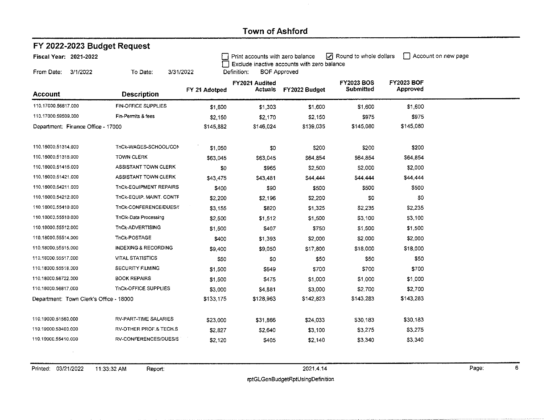| FY 2022-2023 Budget Request             |                                 |               |                                  |                                             |                                |                                      |                     |  |  |  |
|-----------------------------------------|---------------------------------|---------------|----------------------------------|---------------------------------------------|--------------------------------|--------------------------------------|---------------------|--|--|--|
| Fiscal Year: 2021-2022                  |                                 |               | Print accounts with zero balance | Exclude inactive accounts with zero balance | Round to whole dollars         |                                      | Account on new page |  |  |  |
| From Date:<br>3/1/2022                  | To Date:<br>3/31/2022           |               | Definition:                      | <b>BOF Approved</b>                         |                                |                                      |                     |  |  |  |
| <b>Account</b>                          | <b>Description</b>              | FY 21 Adotped | FY2021 Audited<br><b>Actuals</b> | FY2022 Budget                               | <b>FY2023 BOS</b><br>Submitted | <b>FY2023 BOF</b><br><b>Approved</b> |                     |  |  |  |
| 110,17000.56817.000                     | <b>FIN-OFFICE SUPPLIES</b>      | \$1,600       | \$1,303                          | \$1,600                                     | \$1,600                        | \$1,600                              |                     |  |  |  |
| 110.17000.59509,000                     | Fin-Permits & fees              | \$2,150       | \$2,170                          | \$2,150                                     | \$975                          | \$975                                |                     |  |  |  |
| Department: Finance Office - 17000      |                                 | \$145,882     | \$146,024                        | \$139,035                                   | \$145,080                      | \$145,080                            |                     |  |  |  |
| 110.18000.51314.000                     | TnCk-WAGES-SCHOOL/CON           | \$1,050       | \$0                              | \$200                                       | \$200                          | \$200                                |                     |  |  |  |
| 110.18000.51315.000                     | <b>TOWN CLERK</b>               | \$63,045      | \$63,045                         | \$64,854                                    | \$64,854                       | \$64,854                             |                     |  |  |  |
| 110.18000.51415.000                     | <b>ASSISTANT TOWN CLERK</b>     | \$0           | \$965                            | \$2,500                                     | \$2,000                        | \$2,000                              |                     |  |  |  |
| 110,18000.51421,000                     | <b>ASSISTANT TOWN CLERK</b>     | \$43,475      | \$43,481                         | \$44,444                                    | \$44,444                       | \$44,444                             |                     |  |  |  |
| 110,18000,54211.000                     | TnCk-EQUIPMENT REPAIRS          | \$400         | \$90                             | \$500                                       | \$500                          | \$500                                |                     |  |  |  |
| 110.18000.54212.000                     | TnCk-EQUIP, MAINT, CONTF        | \$2,200       | \$2,196                          | \$2,200                                     | \$0                            | \$0                                  |                     |  |  |  |
| 110.18000.55410.000                     | TnCk-CONFERENCE/DUES/:          | \$3,155       | \$820                            | \$1,325                                     | \$2,235                        | \$2,235                              |                     |  |  |  |
| 110.18000.55510.000                     | TnClk-Data Processing           | \$2,500       | \$1.512                          | \$1,500                                     | \$3,100                        | \$3,100                              |                     |  |  |  |
| 110.18000.55512.000                     | TnCk-ADVERTISING                | \$1,500       | \$407                            | \$750                                       | \$1,500                        | \$1,500                              |                     |  |  |  |
| 110.18000.55514.000                     | TnCk-POSTAGE                    | \$400         | \$1,393                          | \$2,000                                     | \$2,000                        | \$2,000                              |                     |  |  |  |
| 110.18000.55515.000                     | <b>INDEXING &amp; RECORDING</b> | \$9,400       | \$9.050                          | \$17,800                                    | \$18,000                       | \$18,000                             |                     |  |  |  |
| 110.18000.55517.000                     | <b>VITAL STATISTICS</b>         | \$50          | \$0                              | \$50                                        | \$50                           | \$50                                 |                     |  |  |  |
| 110,18000.55518.000                     | <b>SECURITY FILMING</b>         | \$1,500       | \$649                            | \$700                                       | \$700                          | \$700                                |                     |  |  |  |
| 110.18000,56722,000                     | <b>BOOK REPAIRS</b>             | \$1,500       | \$475                            | \$1,000                                     | \$1,000                        | \$1,000                              |                     |  |  |  |
| 110,18000,56817,000                     | TnCk-OFFICE SUPPLIES            | \$3,000       | \$4 881                          | \$3,000                                     | \$2,700                        | \$2,700                              |                     |  |  |  |
| Department: Town Clerk's Office - 18000 |                                 | \$133,175     | \$128,963                        | \$142,823                                   | \$143,283                      | \$143,283                            |                     |  |  |  |
| 110.19000.51560.000                     | RV-PART-TIME SALARIES           | \$23,000      | \$31,866                         | \$24,033                                    | \$30,183                       | \$30,183                             |                     |  |  |  |
| 110.19000.53400.000                     | RV-OTHER PROF.& TECH.S          | \$2,827       | \$2,640                          | \$3,100                                     | \$3,275                        | \$3,275                              |                     |  |  |  |
| 110.19000.55410.000                     | RV-CONFERENCES/DUES/S           | \$2,120       | \$405                            | \$2,140                                     | \$3,340                        | \$3,340                              |                     |  |  |  |

 $\alpha$ 

Report:

Page:

 $\mathbf 6$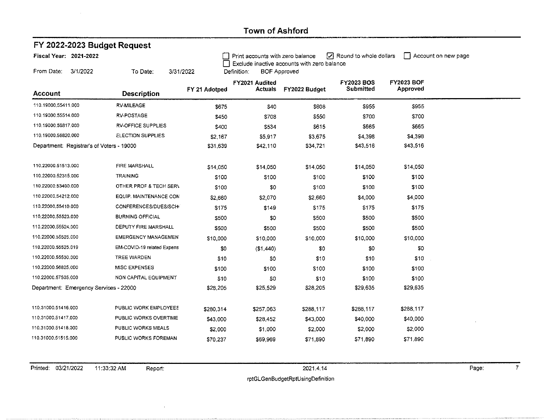| FY 2022-2023 Budget Request               |                            |               |                                                                        |                                             |                                       |                               |                     |  |  |  |
|-------------------------------------------|----------------------------|---------------|------------------------------------------------------------------------|---------------------------------------------|---------------------------------------|-------------------------------|---------------------|--|--|--|
| Fiscal Year: 2021-2022                    |                            |               | Print accounts with zero balance                                       | Exclude inactive accounts with zero balance | Round to whole dollars                |                               | Account on new page |  |  |  |
| From Date:<br>3/1/2022                    | To Date:<br>3/31/2022      | FY 21 Adotped | Definition:<br><b>BOF Approved</b><br>FY2021 Audited<br><b>Actuals</b> | FY2022 Budget                               | <b>FY2023 BOS</b><br><b>Submitted</b> | <b>FY2023 BOF</b><br>Approved |                     |  |  |  |
| Account                                   | <b>Description</b>         |               |                                                                        |                                             |                                       |                               |                     |  |  |  |
| 110.19000.55411.000                       | RV-MILEAGE                 | \$675         | \$40                                                                   | \$608                                       | \$955                                 | \$955                         |                     |  |  |  |
| 110.19000.55514.000                       | RV-POSTAGE                 | \$450         | \$708                                                                  | \$550                                       | \$700                                 | \$700                         |                     |  |  |  |
| 110.19000.56817.000                       | <b>RV-OFFICE SUPPLIES</b>  | \$400         | \$534                                                                  | \$615                                       | \$665                                 | \$665                         |                     |  |  |  |
| 110.19000.56820,000                       | <b>ELECTION SUPPLIES</b>   | \$2,167       | \$5,917                                                                | \$3,675                                     | \$4,398                               | \$4,398                       |                     |  |  |  |
| Department: Registrar's of Voters - 19000 |                            | \$31,639      | \$42,110                                                               | \$34,721                                    | \$43,516                              | \$43,516                      |                     |  |  |  |
| 110,22000.51513,000                       | FIRE MARSHALL              | \$14,050      | \$14,050                                                               | \$14,050                                    | \$14,050                              | \$14,050                      |                     |  |  |  |
| 110.22000.52315.000                       | <b>TRAINING</b>            | \$100         | \$100                                                                  | \$100                                       | \$100                                 | \$100                         |                     |  |  |  |
| 110.22000.53400.000                       | OTHER PROF & TECH SERV     | \$100         | \$0                                                                    | \$100                                       | \$100                                 | \$100                         |                     |  |  |  |
| 110.22000.54212.000                       | EQUIP. MAINTENANCE CON     | \$2,660       | \$2,070                                                                | \$2,660                                     | \$4,000                               | \$4,000                       |                     |  |  |  |
| 110.22000.55410.000                       | CONFERENCES/DUES/SCH       | \$175         | \$149                                                                  | \$175                                       | \$175                                 | \$175                         |                     |  |  |  |
| 110.22000.55523.000                       | <b>BURNING OFFICIAL</b>    | \$500         | \$0                                                                    | \$500                                       | \$500                                 | \$500                         |                     |  |  |  |
| 110.22000.55524.000                       | DEPUTY FIRE MARSHALL       | \$500         | \$500                                                                  | \$500                                       | \$500                                 | \$500                         |                     |  |  |  |
| 110.22000.55525,000                       | <b>EMERGENCY MANAGEMEN</b> | \$10,000      | \$10,000                                                               | \$10,000                                    | \$10,000                              | \$10,000                      |                     |  |  |  |
| 110.22000.55525.019                       | EM-COVID-19 related Expens | \$0           | ( \$1,440)                                                             | \$0                                         | \$0                                   | \$0                           |                     |  |  |  |
| 110.22000.55530.000                       | TREE WARDEN                | \$10          | \$0                                                                    | \$10                                        | \$10                                  | \$10                          |                     |  |  |  |
| 110.22000.56825.000                       | MISC EXPENSES              | \$100         | \$100                                                                  | \$100                                       | \$100                                 | \$100                         |                     |  |  |  |
| 110.22000.57505.000                       | NON CAPITAL EQUIPMENT      | \$10          | \$0                                                                    | \$10                                        | \$100                                 | \$100                         |                     |  |  |  |
| Department: Emergency Services - 22000    |                            | \$28,205      | \$25,529                                                               | \$28,205                                    | \$29,635                              | \$29,635                      |                     |  |  |  |
| 110.31000.51416.000                       | PUBLIC WORK EMPLOYEES      | \$280,314     | \$257,063                                                              | \$288,117                                   | \$288,117                             | \$288,117                     |                     |  |  |  |
| 110.31000,51417,000                       | PUBLIC WORKS OVERTIME      | \$43,000      | \$28,452                                                               | \$43,000                                    | \$40,000                              | \$40,000                      |                     |  |  |  |
| 110.31000.51418.000                       | PUBLIC WORKS MEALS         | \$2,000       | \$1,000                                                                | \$2,000                                     | \$2,000                               | \$2,000                       |                     |  |  |  |
| 110.31000.51515.000                       | PUBLIC WORKS FOREMAN       | \$70,237      | \$69,969                                                               | \$71,890                                    | \$71,890                              | \$71,890                      |                     |  |  |  |

 $\epsilon$ 

Page:

 $\overline{7}$ 

 $\alpha$  .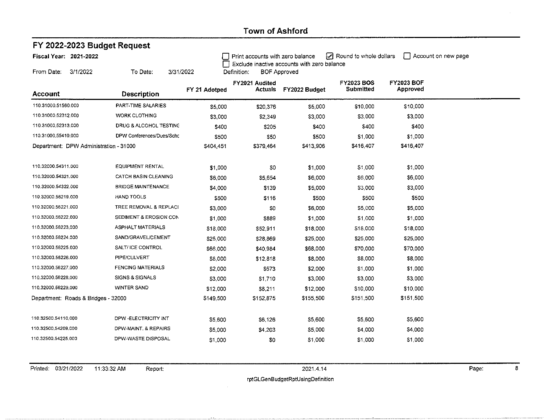|                                        | FY 2022-2023 Budget Request |               |                                  |                                             |                                |                               |                     |  |  |  |  |
|----------------------------------------|-----------------------------|---------------|----------------------------------|---------------------------------------------|--------------------------------|-------------------------------|---------------------|--|--|--|--|
| Fiscal Year: 2021-2022                 |                             |               | Print accounts with zero balance | Exclude inactive accounts with zero balance | Z Round to whole dollars       |                               | Account on new page |  |  |  |  |
| From Date:<br>3/1/2022                 | To Date:<br>3/31/2022       |               | Definition:                      | <b>BOF Approved</b>                         |                                |                               |                     |  |  |  |  |
| <b>Account</b>                         | <b>Description</b>          | FY 21 Adotped | FY2021 Audited<br><b>Actuals</b> | FY2022 Budget                               | <b>FY2023 BOS</b><br>Submitted | <b>FY2023 BOF</b><br>Approved |                     |  |  |  |  |
| 110.31000.51560.000                    | PART-TIME SALARIES          | \$5,000       | \$20,376                         | \$5,000                                     | \$10,000                       | \$10,000                      |                     |  |  |  |  |
| 110.31000.52312,000                    | <b>WORK CLOTHING</b>        | \$3,000       | \$2 34 9                         | \$3,000                                     | \$3,000                        | \$3,000                       |                     |  |  |  |  |
| 110.31000.52313,000                    | DRUG & ALCOHOL TESTING      | \$400         | \$205                            | \$400                                       | \$400                          | \$400                         |                     |  |  |  |  |
| 110.31000.55410.000                    | DPW Conferences/Dues/Schc   | \$500         | \$50                             | \$500                                       | \$1,000                        | \$1,000                       |                     |  |  |  |  |
| Department: DPW Administration - 31000 |                             | \$404,451     | \$379.464                        | \$413,906                                   | \$416,407                      | \$416,407                     |                     |  |  |  |  |
| 110.32000.54311.000                    | <b>EQUIPMENT RENTAL</b>     | \$1,000       | \$0                              | \$1,000                                     | \$1,000                        | \$1,000                       |                     |  |  |  |  |
| 110,32000.54321.000                    | <b>CATCH BASIN CLEANING</b> | \$6,000       | \$5,654                          | \$6,000                                     | \$6,000                        | \$6,000                       |                     |  |  |  |  |
| 110.32000.54322.000                    | <b>BRIDGE MAINTENANCE</b>   | \$4,000       | \$139                            | \$5,000                                     | \$3,000                        | \$3,000                       |                     |  |  |  |  |
| 110.32000.56219.000                    | HAND TOOLS                  | \$500         | \$116                            | \$500                                       | \$500                          | \$500                         |                     |  |  |  |  |
| 110.32000.56221.000                    | TREE REMOVAL & REPLACI      | \$3,000       | \$0                              | \$6,000                                     | \$5,000                        | \$5,000                       |                     |  |  |  |  |
| 110.32000.56222.000                    | SEDIMENT & EROSION CON      | \$1,000       | \$889                            | \$1,000                                     | \$1,000                        | \$1,000                       |                     |  |  |  |  |
| 110,32000,56223,000                    | <b>ASPHALT MATERIALS</b>    | \$18,000      | \$52,911                         | \$18,000                                    | \$18,000                       | \$18,000                      |                     |  |  |  |  |
| 110.32000.56224.000                    | SAND/GRAVEL/CEMENT          | \$25,000      | \$28,869                         | \$25,000                                    | \$25,000                       | \$25,000                      |                     |  |  |  |  |
| 110.32000.56225.000                    | SALT/ ICE CONTROL           | \$66,000      | \$40,984                         | \$68,000                                    | \$70,000                       | \$70,000                      |                     |  |  |  |  |
| 110,32000,56226,000                    | PIPE/CULVERT                | \$8,000       | \$12,818                         | \$8,000                                     | \$8,000                        | \$8,000                       |                     |  |  |  |  |
| 110.32000.56227.000                    | <b>FENCING MATERIALS</b>    | \$2,000       | \$573                            | \$2,000                                     | \$1,000                        | \$1,000                       |                     |  |  |  |  |
| 110.32000,56228.000                    | <b>SIGNS &amp; SIGNALS</b>  | \$3,000       | \$1,710                          | \$3,000                                     | \$3,000                        | \$3,000                       |                     |  |  |  |  |
| 110,32000,56229,000                    | WINTER SAND                 | \$12,000      | \$8,211                          | \$12,000                                    | \$10,000                       | \$10,000                      |                     |  |  |  |  |
| Department: Roads & Bridges - 32000    |                             | \$149,500     | \$152,875                        | \$155,500                                   | \$151,500                      | \$151,500                     |                     |  |  |  |  |
| 110.32500.54110,000                    | DPW-ELECTRICITY INT         | \$5,600       | \$6 126                          | \$5,600                                     | \$5,600                        | \$5,600                       |                     |  |  |  |  |
| 110.32500,54209,000                    | DPW-MAINT. & REPAIRS        | \$5,000       | \$4,203                          | \$5,000                                     | \$4,000                        | \$4,000                       |                     |  |  |  |  |
| 110.32500,54225.000                    | DPW-WASTE DISPOSAL          | \$1,000       | \$0                              | \$1,000                                     | \$1,000                        | \$1,000                       |                     |  |  |  |  |

Report:

2021.4.14

 $\overline{\mathbf{8}}$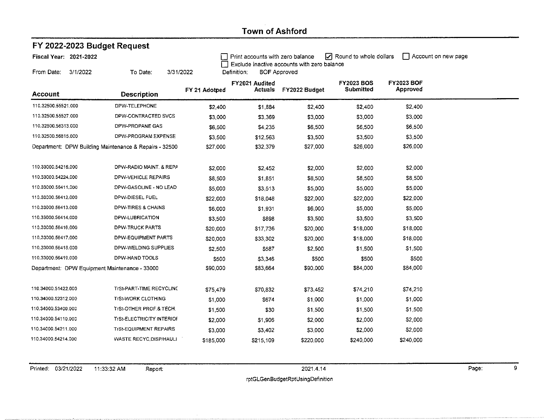|                                                        | FY 2022-2023 Budget Request   |                     |                                  |                                             |                                       |                               |  |  |  |  |  |
|--------------------------------------------------------|-------------------------------|---------------------|----------------------------------|---------------------------------------------|---------------------------------------|-------------------------------|--|--|--|--|--|
| Fiscal Year: 2021-2022                                 |                               |                     | Print accounts with zero balance | Exclude inactive accounts with zero balance | Round to whole dollars                | Account on new page           |  |  |  |  |  |
| From Date:<br>3/1/2022                                 | To Date:                      | 3/31/2022           | Definition:                      | <b>BOF Approved</b>                         |                                       |                               |  |  |  |  |  |
| <b>Account</b>                                         | <b>Description</b>            | FY 21 Adotped       | FY2021 Audited<br>Actuals        | FY2022 Budget                               | <b>FY2023 BOS</b><br><b>Submitted</b> | <b>FY2023 BOF</b><br>Approved |  |  |  |  |  |
| 110,32500,55521.000                                    | DPW-TELEPHONE                 |                     |                                  |                                             | \$2,400                               | \$2,400                       |  |  |  |  |  |
| 110.32500.55527.000                                    | DPW-CONTRACTED SVCS           | \$2,400             | \$1,884                          | \$2,400                                     | \$3,000                               | \$3,000                       |  |  |  |  |  |
| 110.32500.56313.000                                    | DPW-PROPANE GAS               | \$3,000             | \$3,369                          | \$3,000                                     |                                       | \$6,500                       |  |  |  |  |  |
| 110.32500,56815,000                                    | DPW-PROGRAM EXPENSE           | \$6,500             | \$4,235                          | \$6,500                                     | \$6,500<br>\$3,500                    | \$3,500                       |  |  |  |  |  |
| Department: DPW Building Maintenance & Repairs - 32500 |                               | \$3,500<br>\$27,000 | \$12,563<br>\$32,379             | \$3,500<br>\$27,000                         | \$26,000                              | \$26,000                      |  |  |  |  |  |
| 110.33000.54216.000                                    | DPW-RADIO MAINT. & REPA       | \$2,000             | \$2,452                          | \$2,000                                     | \$2,000                               | \$2,000                       |  |  |  |  |  |
| 110.33000.54224,000                                    | DPW-VEHICLE REPAIRS           | \$8,500             | \$1,851                          | \$8,500                                     | \$8,500                               | \$8,500                       |  |  |  |  |  |
| 110.33000.56411.000                                    | DPW-GASOLINE - NO LEAD        | \$5,000             | \$3,513                          | \$5,000                                     | \$5,000                               | \$5,000                       |  |  |  |  |  |
| 110.33000.56412,000                                    | DPW-DIESEL FUEL               | \$22,000            | \$18,048                         | \$22,000                                    | \$22,000                              | \$22,000                      |  |  |  |  |  |
| 110.33000.56413.000                                    | <b>DPW-TIRES &amp; CHAINS</b> | \$6,000             | \$1,931                          | \$6,000                                     | \$5,000                               | \$5,000                       |  |  |  |  |  |
| 110.33000.56414.000                                    | DPW-LUBRICATION               | \$3,500             | \$398                            | \$3,500                                     | \$3,500                               | \$3,500                       |  |  |  |  |  |
| 110.33000.56416,000                                    | <b>DPW-TRUCK PARTS</b>        | \$20,000            | \$17,736                         | \$20,000                                    | \$18,000                              | \$18,000                      |  |  |  |  |  |
| 110.33000.56417.000                                    | DPW-EQUIPMENT PARTS           | \$20,000            | \$33,302                         | \$20,000                                    | \$18,000                              | \$18,000                      |  |  |  |  |  |
| 110.33000.56418.000                                    | DPW-WELDING SUPPLIES          | \$2,500             | \$587                            | \$2,500                                     | \$1,500                               | \$1,500                       |  |  |  |  |  |
| 110.33000.56419.000                                    | DPW-HAND TOOLS                | \$500               | \$3,346                          | \$500                                       | \$500                                 | \$500                         |  |  |  |  |  |
| Department: DPW Equipment Maintenance - 33000          |                               | \$90,000            | \$83,664                         | \$90,000                                    | \$84,000                              | \$84,000                      |  |  |  |  |  |
| 110.34000.51422.000                                    | TrSt-PART-TIME RECYCLINO      | \$75,479            | \$70,832                         | \$73,452                                    | \$74,210                              | \$74,210                      |  |  |  |  |  |
| 110.34000.52312.000                                    | <b>TrSt-WORK CLOTHING</b>     | \$1,000             | \$674                            | \$1,000                                     | \$1,000                               | \$1,000                       |  |  |  |  |  |
| 110.34000.53400.000                                    | TrSt-OTHER PROF.& TECH.       | \$1,500             | \$30                             | \$1,500                                     | \$1,500                               | \$1,500                       |  |  |  |  |  |
| 110.34000,54110.000                                    | TrSt-ELECTRICITY INTERIOR     | \$2,000             | \$1,906                          | \$2,000                                     | \$2,000                               | \$2,000                       |  |  |  |  |  |
| 110.34000.54211.000                                    | <b>TrSt-EQUIPMENT REPAIRS</b> | \$3,000             | \$3,402                          | \$3,000                                     | \$2,000                               | \$2,000                       |  |  |  |  |  |
| 110.34000.54214.000                                    | WASTE RECYC, DISP/HAULI       | \$185,000           | \$215,109                        | \$220,000                                   | \$240,000                             | \$240,000                     |  |  |  |  |  |

Printed: 03/21/2022 11:33:32 AM

Report:

2021.4.14

Page:

rptGLGenBudgetRptUsingDefinition

 $\mathsf g$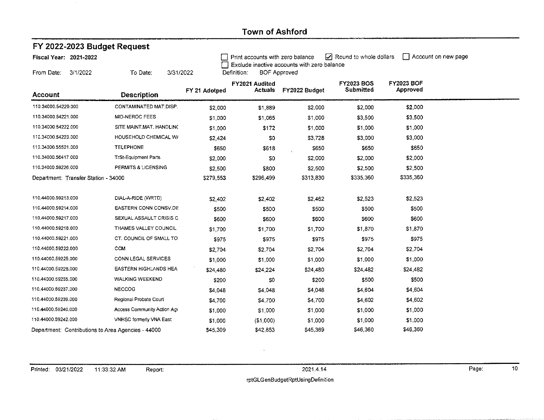| Fiscal Year: 2021-2022                             |                               |               | Print accounts with zero balance | Exclude inactive accounts with zero balance | Round to whole dollars         | Account on new page                  |  |
|----------------------------------------------------|-------------------------------|---------------|----------------------------------|---------------------------------------------|--------------------------------|--------------------------------------|--|
| 3/1/2022<br>From Date:                             | To Date:<br>3/31/2022         |               | Definition:                      | <b>BOF Approved</b>                         |                                |                                      |  |
| <b>Account</b>                                     | <b>Description</b>            | FY 21 Adotped | FY2021 Audited<br><b>Actuals</b> | FY2022 Budget                               | FY2023 BOS<br><b>Submitted</b> | <b>FY2023 BOF</b><br><b>Approved</b> |  |
| 110.34000.54220.000                                | CONTAMINATED MAT.DISP.        | \$2,000       | \$1,889                          | \$2,000                                     | \$2,000                        | \$2,000                              |  |
| 110.34000.54221.000                                | MID-NEROC FEES                | \$1,000       | \$1,065                          | \$1,000                                     | \$3,500                        | \$3,500                              |  |
| 110.34000.54222.000                                | SITE MAINT MAT, HANDLING      | \$1,000       | \$172                            | \$1,000                                     | \$1,000                        | \$1,000                              |  |
| 110.34000.54223.000                                | HOUSEHOLD CHEMICAL W/         | \$2,424       | \$0                              | \$3,728                                     | \$3,000                        | \$3,000                              |  |
| 110.34000.55521.000                                | <b>TELEPHONE</b>              | \$650         | \$618                            | \$650                                       | \$650                          | \$650                                |  |
| 110.34000.56417.000                                | <b>TrSt-Equipment Parts</b>   | \$2,000       | \$0                              | \$2,000                                     | \$2,000                        | \$2,000                              |  |
| 110,34000.59226.000                                | PERMITS & LICENSING           | \$2,500       | \$800                            | \$2,500                                     | \$2,500                        | \$2,500                              |  |
| Department: Transfer Station - 34000               |                               | \$279,553     | \$296,499                        | \$313,830                                   | \$335,360                      | \$335,360                            |  |
|                                                    |                               |               |                                  |                                             |                                |                                      |  |
| 110.44000.59213.000                                | DIAL-A-RIDE (WRTD)            | \$2,402       | \$2,402                          | \$2,462                                     | \$2,523                        | \$2,523                              |  |
| 110.44000.59214.000                                | <b>EASTERN CONN CONSV.DI:</b> | \$500         | \$500                            | \$500                                       | \$500                          | \$500                                |  |
| 110.44000.59217.000                                | SEXUAL ASSAULT CRISIS C       | \$600         | \$600                            | \$600                                       | \$600                          | \$600                                |  |
| 110.44000.59218.000                                | THAMES VALLEY COUNCIL         | \$1,700       | \$1,700                          | \$1,700                                     | \$1,870                        | \$1,870                              |  |
| 110.44000.59221.000                                | CT. COUNCIL OF SMALL TO       | \$975         | \$975                            | \$975                                       | \$975                          | \$975                                |  |
| 110.44000.59222.000                                | <b>CCM</b>                    | \$2,704       | \$2,704                          | \$2,704                                     | \$2,704                        | \$2,704                              |  |
| 110.44000.59225.000                                | CONN LEGAL SERVICES           | \$1,000       | \$1,000                          | \$1,000                                     | \$1,000                        | \$1,000                              |  |
| 110.44000,59228.000                                | EASTERN HIGHLANDS HEA         | \$24,480      | \$24,224                         | \$24,480                                    | \$24,482                       | \$24,482                             |  |
| 110.44000.59235.000                                | <b>WALKING WEEKEND</b>        | \$200         | \$0                              | \$200                                       | \$500                          | \$500                                |  |
| 110,44000,59237,000                                | <b>NECCOG</b>                 | \$4,048       | \$4,048                          | \$4,048                                     | \$4,604                        | \$4,604                              |  |
| 110,44000,59239.000                                | Regional Probate Court        | \$4,700       | \$4,700                          | \$4,700                                     | \$4,602                        | \$4,602                              |  |
| 110.44000.59240.000                                | Access Community Action Ago   | \$1,000       | \$1,000                          | \$1,000                                     | \$1,000                        | \$1,000                              |  |
| 110.44000.59242.000                                | VNHSC formerly VNA East       | \$1,000       | ( \$1,000)                       | \$1,000                                     | \$1,000                        | \$1,000                              |  |
| Department: Contributions to Area Agencies - 44000 |                               | \$45,309      | \$42,853                         | \$45,369                                    | \$46,360                       | \$46,360                             |  |

FY 2022-2023 Budget Request

 $\overline{10}$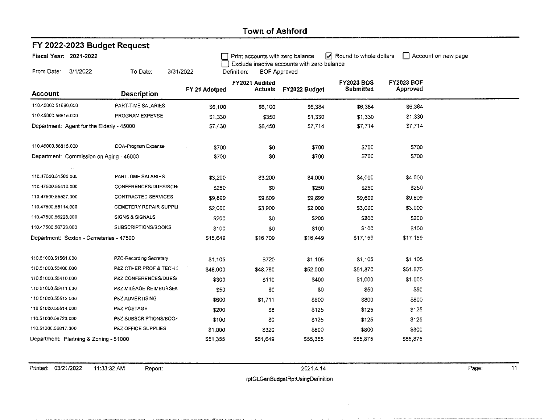| FY 2022-2023 Budget Request               |                            |               |                                  |                                                                    |                        |                   |                     |
|-------------------------------------------|----------------------------|---------------|----------------------------------|--------------------------------------------------------------------|------------------------|-------------------|---------------------|
| Fiscal Year: 2021-2022                    |                            |               | Print accounts with zero balance |                                                                    | Round to whole dollars |                   | Account on new page |
| From Date:<br>3/1/2022                    | To Date:<br>3/31/2022      |               | Definition:                      | Exclude inactive accounts with zero balance<br><b>BOF Approved</b> |                        |                   |                     |
|                                           |                            |               | FY2021 Audited                   |                                                                    | <b>FY2023 BOS</b>      | <b>FY2023 BOF</b> |                     |
| Account                                   | Description                | FY 21 Adotped | <b>Actuals</b>                   | FY2022 Budget                                                      | Submitted              | Approved          |                     |
| 110.45000.51560,000                       | PART-TIME SALARIES         | \$6,100       | \$6,100                          | \$6,384                                                            | \$6,384                | \$6,384           |                     |
| 110.45000.56815.000                       | PROGRAM EXPENSE            | \$1,330       | \$350                            | \$1,330                                                            | \$1,330                | \$1,330           |                     |
| Department: Agent for the Elderly - 45000 |                            | \$7,430       | \$6,450                          | \$7,714                                                            | \$7,714                | \$7,714           |                     |
| 110.46000.56815.000                       | COA-Program Expense        | \$700         | \$0                              | \$700                                                              | \$700                  | \$700             |                     |
| Department: Commission on Aging - 46000   |                            | \$700         | \$0                              | \$700                                                              | \$700                  | \$700             |                     |
| 110,47500,51560.000                       | PART-TIME SALARIES         | \$3,200       | \$3,200                          | \$4,000                                                            | \$4,000                | \$4,000           |                     |
| 110.47500.55410,000                       | CONFERENCES/DUES/SCH       | \$250         | \$0                              | \$250                                                              | \$250                  | \$250             |                     |
| 110.47500.55527.000                       | CONTRACTED SERVICES        | \$9,899       | \$9,609                          | \$9,899                                                            | \$9,609                | \$9,609           |                     |
| 110,47500,56114,000                       | CEMETERY REPAIR SUPPLI     | \$2,000       | \$3,900                          | \$2,000                                                            | \$3,000                | \$3,000           |                     |
| 110,47500,56228,000                       | <b>SIGNS &amp; SIGNALS</b> | \$200         | \$0                              | \$200                                                              | \$200                  | \$200             |                     |
| 110.47500.56723.000                       | SUBSCRIPTIONS/BOOKS        | \$100         | \$0                              | \$100                                                              | \$100                  | \$100             |                     |
| Department: Sexton - Cemeteries - 47500   |                            | \$15,649      | \$16,709                         | \$16,449                                                           | \$17,159               | \$17,159          |                     |
| 110.51000.51561.000                       | PZC-Recording Secretary    | \$1,105       | \$720                            | \$1,105                                                            | \$1,105                | \$1,105           |                     |
| 110.51000.53400.000                       | P&Z OTHER PROF & TECH {    | \$48,000      | \$48,780                         | \$52,000                                                           | \$51,870               | \$51,870          |                     |
| 110.51000.55410.000                       | P&Z CONFERENCES/DUES/      | \$300         | \$110                            | \$400                                                              | \$1,000                | \$1,000           |                     |
| 110.51000,55411.000                       | P&Z MILEAGE REIMBURSEN     | \$50          | \$0                              | \$0                                                                | \$50                   | \$50              |                     |
| 110.51000.55512.000                       | P&Z ADVERTISING            | \$600         | \$1.711                          | \$800                                                              | \$800                  | \$800             |                     |
| 110.51000.55514.000                       | P&Z POSTAGE                | \$200         | \$8                              | \$125                                                              | \$125                  | \$125             |                     |
| 110.51000.56723.000                       | P&Z SUBSCRIPTIONS/BOOK     | \$100         | \$0                              | \$125                                                              | \$125                  | \$125             |                     |
| 110,51000,56817,000                       | P&Z OFFICE SUPPLIES        | \$1,000       | \$320                            | \$800                                                              | \$800                  | \$800             |                     |
| Department: Planning & Zoning - 51000     |                            | \$51,355      | \$51,649                         | \$55,355                                                           | \$55,875               | \$55,875          |                     |

Page:

 $11$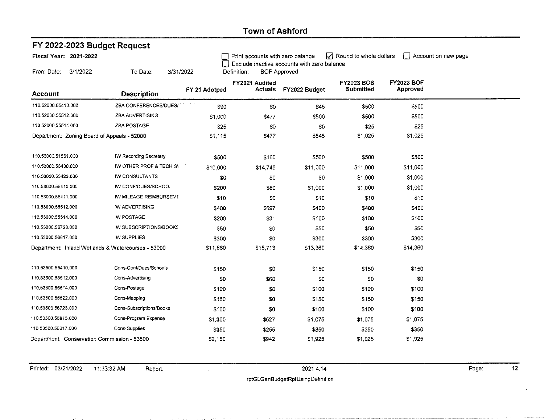| FY 2022-2023 Budget Request                        |                          |               |                                  |                                                                    |                                |                               |                               |
|----------------------------------------------------|--------------------------|---------------|----------------------------------|--------------------------------------------------------------------|--------------------------------|-------------------------------|-------------------------------|
| Fiscal Year: 2021-2022                             |                          |               | Print accounts with zero balance |                                                                    | Round to whole dollars         |                               | $\vert$   Account on new page |
| From Date:<br>3/1/2022                             | To Date:<br>3/31/2022    |               | Definition:                      | Exclude inactive accounts with zero balance<br><b>BOF Approved</b> |                                |                               |                               |
| <b>Account</b>                                     | <b>Description</b>       | FY 21 Adotped | FY2021 Audited<br><b>Actuals</b> | FY2022 Budget                                                      | <b>FY2023 BOS</b><br>Submitted | <b>FY2023 BOF</b><br>Approved |                               |
| 110.52000.55410.000                                | ZBA CONFERENCES/DUES/    | \$90          | \$0                              | \$45                                                               | \$500                          | \$500                         |                               |
| 110.52000.55512.000                                | ZBA ADVERTISING          | \$1,000       | \$477                            | \$500                                                              | \$500                          | \$500                         |                               |
| 110.52000,55514.000                                | <b>ZBA POSTAGE</b>       | \$25          | \$0                              | \$0                                                                | \$25                           | \$25                          |                               |
| Department: Zoning Board of Appeals - 52000        |                          | \$1.115       | \$477                            | \$545                                                              | \$1,025                        | \$1,025                       |                               |
| 110.53000.51561.000                                | IW Recording Secretary   | \$500         | \$160                            | \$500                                                              | \$500                          | \$500                         |                               |
| 110.53000.53400,000                                | IW OTHER PROF & TECH SV  | \$10,000      | \$14,745                         | \$11,000                                                           | \$11,000                       | \$11,000                      |                               |
| 110.53000.53423.000                                | IW CONSULTANTS           | \$0           | \$0                              | \$0                                                                | \$1,000                        | \$1,000                       |                               |
| 110,53000,55410.000                                | IW CONF/DUES/SCHOOL      | \$200         | \$80                             | \$1,000                                                            | \$1,000                        | \$1,000                       |                               |
| 110.53000.55411.000                                | IW MILEAGE REIMBURSEME   | \$10          | \$0                              | \$10                                                               | \$10                           | \$10                          |                               |
| 110.53000.55512.000                                | IW ADVERTISING           | \$400         | \$697                            | \$400                                                              | \$400                          | \$400                         |                               |
| 110.53000,55514.000                                | <b>IW POSTAGE</b>        | \$200         | \$31                             | \$100                                                              | \$100                          | \$100                         |                               |
| 110.53000,56723.000                                | IW SUBSCRIPTIONS/BOOKS   | \$50          | \$0                              | \$50                                                               | \$50                           | \$50                          |                               |
| 110.53000.56817.000                                | IW SUPPLIES              | \$300         | \$0                              | \$300                                                              | \$300                          | \$300                         |                               |
| Department: Inland Wetlands & Watercourses - 53000 |                          | \$11,660      | \$15,713                         | \$13,360                                                           | \$14,360                       | \$14,360                      |                               |
| 110.53500.55410.000                                | Cons-Conf/Dues/Schools   | \$150         | \$0                              | \$150                                                              | \$150                          | \$150                         |                               |
| 110.53500.55512.000                                | Cons-Advertising         | \$0           | \$60                             | \$0                                                                | \$0                            | \$0                           |                               |
| 110,53500,55514.000                                | Cons-Postage             | \$100         | \$0                              | \$100                                                              | \$100                          | \$100                         |                               |
| 110,53500,55522,000                                | Cons-Mapping             | \$150         | \$0                              | \$150                                                              | \$150                          | \$150                         |                               |
| 110.53500,56723,000                                | Cons-Subscriptions/Books | \$100         | \$0                              | \$100                                                              | \$100                          | \$100                         |                               |
| 110.53500.56815.000                                | Cons-Program Expense     | \$1,300       | \$627                            | \$1,075                                                            | \$1,075                        | \$1,075                       |                               |
| 110.53500.56817.000                                | Cons-Supplies            | \$350         | \$255                            | \$350                                                              | \$350                          | \$350                         |                               |
| Department: Conservation Commission - 53500        |                          | \$2,150       | \$942                            | \$1,925                                                            | \$1,925                        | \$1,925                       |                               |

Printed: 03/21/2022 Report: 11:33:32 AM

Page:

rptGLGenBudgetRptUsingDefinition

 $\sim$ 

 $\overline{12}$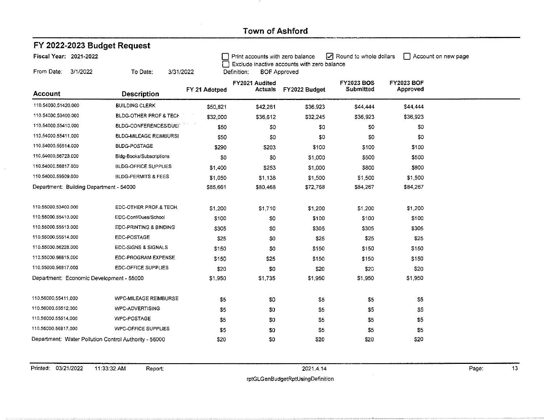$\mathcal{L}$ 

| Fiscal Year: 2021-2022                                |                                |               | Print accounts with zero balance |                                             | Round to whole dollars         | Account on new page           |  |
|-------------------------------------------------------|--------------------------------|---------------|----------------------------------|---------------------------------------------|--------------------------------|-------------------------------|--|
| From Date:<br>3/1/2022                                | To Date:<br>3/31/2022          | Definition:   | <b>BOF Approved</b>              | Exclude inactive accounts with zero balance |                                |                               |  |
| <b>Account</b>                                        | <b>Description</b>             | FY 21 Adotped | FY2021 Audited<br>Actuals        | FY2022 Budget                               | <b>FY2023 BOS</b><br>Submitted | <b>FY2023 BOF</b><br>Approved |  |
|                                                       |                                |               |                                  |                                             |                                |                               |  |
| 110.54000.51420.000                                   | <b>BUILDING CLERK</b>          | \$50,821      | \$42,261                         | \$36,923                                    | \$44,444                       | \$44,444                      |  |
| 110.54000.53400.000                                   | BLDG-OTHER PROF & TECH         | \$32,000      | \$36,612                         | \$32,245                                    | \$36,923                       | \$36,923                      |  |
| 110,54000.55410.000                                   | BLDG-CONFERENCES/DUE:          | \$50          | \$0                              | \$0                                         | \$0                            | \$0                           |  |
| 110.54000.55411.000                                   | BLDG-MILEAGE REIMBURSE         | \$50          | \$0                              | \$0                                         | \$0                            | \$0                           |  |
| 110.54000.55514.000                                   | BLDG-POSTAGE                   | \$290         | \$203                            | \$100                                       | \$100                          | \$100                         |  |
| 110,54000.56723.000                                   | Bldg-Books/Subscriptions       | \$0           | \$0                              | \$1,000                                     | \$500                          | \$500                         |  |
| 110.54000.56817.000                                   | <b>BLDG-OFFICE SUPPLIES</b>    | \$1,400       | \$253                            | \$1,000                                     | \$800                          | \$800                         |  |
| 110.54000.59509.000                                   | <b>BLDG-PERMITS &amp; FEES</b> | \$1,050       | \$1 138                          | \$1,500                                     | \$1,500                        | \$1,500                       |  |
| Department: Building Department - 54000               |                                | \$85,661      | \$80,468                         | \$72,768                                    | \$84,267                       | \$84,267                      |  |
| 110.55000.53400.000                                   | EDC-OTHER PROF.& TECH.         | \$1,200       | \$1 710                          | \$1,200                                     | \$1,200                        | \$1,200                       |  |
| 110.55000.55410.000                                   | EDC-Conf/Dues/School           | \$100         | \$0                              | \$100                                       | \$100                          | \$100                         |  |
| 110,55000,55513,000                                   | EDC-PRINTING & BINDING         | \$305         | \$0                              | \$305                                       | \$305                          | \$305                         |  |
| 110.55000.55514.000                                   | EDC-POSTAGE                    | \$25          | \$0                              | \$25                                        | \$25                           | \$25                          |  |
| 110.55000.56228.000                                   | <b>EDC-SIGNS &amp; SIGNALS</b> | \$150         | \$0                              | \$150                                       | \$150                          | \$150                         |  |
| 110.55000.56815,000                                   | EDC-PROGRAM EXPENSE            | \$150         | \$25                             | \$150                                       | \$150                          | \$150                         |  |
| 110.55000,56817,000                                   | <b>EDC-OFFICE SUPPLIES</b>     | \$20          | \$0                              | \$20                                        | \$20                           | \$20                          |  |
| Department: Economic Development - 55000              |                                | \$1,950       | \$1,735                          | \$1,950                                     | \$1,950                        | \$1,950                       |  |
| 110.56000.55411.000                                   | WPC-MILEAGE REIMBURSE          | \$5           | \$0                              | \$5                                         | \$5                            | \$5                           |  |
| 110.56000.55512,000                                   | <b>WPC-ADVERTISING</b>         | \$5           | \$0                              | \$5                                         | \$5                            | \$5                           |  |
| 110.56000.55514.000                                   | <b>WPC-POSTAGE</b>             | \$5           | \$0                              | \$5                                         | \$5                            | \$5                           |  |
| 110.56000.56817.000                                   | <b>WPC-OFFICE SUPPLIES</b>     | \$5           | \$0                              | \$5                                         | \$5                            | \$5                           |  |
| Department: Water Pollution Control Authority - 56000 |                                | \$20          | \$0                              | \$20                                        | \$20                           | \$20                          |  |

FY 2022-2023 Budget Request

 $\mathcal{A}^{\pm}$ 

Report:

rptGLGenBudgetRptUsingDefinition

 $\frac{1}{13}$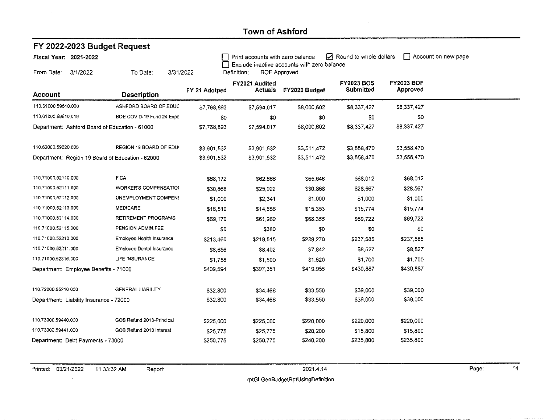| FY 2022-2023 Budget Request                      |                              |               |                                    |                                             |                        |                   |                     |
|--------------------------------------------------|------------------------------|---------------|------------------------------------|---------------------------------------------|------------------------|-------------------|---------------------|
| Fiscal Year: 2021-2022                           |                              |               | Print accounts with zero balance   |                                             | Round to whole dollars |                   | Account on new page |
| From Date:<br>3/1/2022                           | To Date:<br>3/31/2022        |               | Definition:<br><b>BOF Approved</b> | Exclude inactive accounts with zero balance |                        |                   |                     |
|                                                  |                              |               | FY2021 Audited                     |                                             | <b>FY2023 BOS</b>      | <b>FY2023 BOF</b> |                     |
| <b>Account</b>                                   | <b>Description</b>           | FY 21 Adotped | <b>Actuals</b>                     | FY2022 Budget                               | Submitted              | Approved          |                     |
| 110.61000.59610.000                              | ASHFORD BOARD OF EDUC        | \$7,768.893   | \$7,594.017                        | \$8,000,602                                 | \$8,337,427            | \$8,337,427       |                     |
| 110,61000.59610.019                              | BOE COVID-19 Fund 24 Expe    | \$0           | \$0                                | \$0                                         | \$0                    | \$0               |                     |
| Department: Ashford Board of Education - 61000   |                              | \$7,768.893   | \$7,594,017                        | \$8,000,602                                 | \$8,337,427            | \$8,337,427       |                     |
| 110.62000.59620,000                              | REGION 19 BOARD OF EDU-      | \$3,901,532   | \$3,901,532                        | \$3,511,472                                 | \$3,558,470            | \$3,558,470       |                     |
| Department: Region 19 Board of Education - 62000 |                              | \$3,901.532   | \$3,901.532                        | \$3,511,472                                 | \$3,558,470            | \$3,558,470       |                     |
| 110.71000.52110.000                              | <b>FICA</b>                  | \$68,172      | \$62,666                           | \$65,646                                    | \$68,012               | \$68,012          |                     |
| 110.71000.52111.000                              | <b>WORKER'S COMPENSATIO!</b> | \$30,868      | \$25,922                           | \$30,868                                    | \$28.567               | \$28,567          |                     |
| 110.71000.52112.000                              | UNEMPLOYMENT COMPENS         | \$1,000       | \$2,341                            | \$1,000                                     | \$1,000                | \$1,000           |                     |
| 110.71000.52113.000                              | <b>MEDICARE</b>              | \$16,510      | \$14 656                           | \$15,353                                    | \$15,774               | \$15,774          |                     |
| 110.71000.52114.000                              | <b>RETIREMENT PROGRAMS</b>   | \$69,170      | \$61 969                           | \$68,355                                    | \$69,722               | \$69,722          |                     |
| 110,71000.52115.000                              | PENSION ADMINIFEE            | \$0           | \$380                              | \$0                                         | \$0                    | \$0               |                     |
| 110.71000.52210.000                              | Employee Health Insurance    | \$213,460     | \$219,515                          | \$229,270                                   | \$237,585              | \$237,585         |                     |
| 110,71000.52211.000                              | Employee Dental Insurance    | \$8,656       | \$8,402                            | \$7,842                                     | \$8,527                | \$8.527           |                     |
| 110.71000.52316.000                              | LIFE INSURANCE               | \$1,758       | \$1,500                            | \$1,620                                     | \$1,700                | \$1,700           |                     |
| Department: Employee Benefits - 71000            |                              | \$409.594     | \$397,351                          | \$419,955                                   | \$430,887              | \$430,887         |                     |
| 110.72000.55210.000                              | <b>GENERAL LIABILITY</b>     | \$32,800      | \$34,466                           | \$33,550                                    | \$39,000               | \$39,000          |                     |
| Department: Liability Insurance - 72000          |                              | \$32,800      | \$34,466                           | \$33,550                                    | \$39,000               | \$39,000          |                     |
| 110.73000.59440.000                              | GOB Refund 2013-Principal    | \$225,000     | \$225,000                          | \$220,000                                   | \$220,000              | \$220,000         |                     |
| 110.73000.59441.000                              | GOB Refund 2013 Interest     | \$25,775      | \$25,775                           | \$20,200                                    | \$15,800               | \$15,800          |                     |
| Department: Debt Payments - 73000                |                              | \$250,775     | \$250,775                          | \$240,200                                   | \$235,800              | \$235,800         |                     |

Printed: 03/21/2022 11:33:32 AM Report:

 $\mathbb{R}^n$ 

2021.4.14

 $\overline{14}$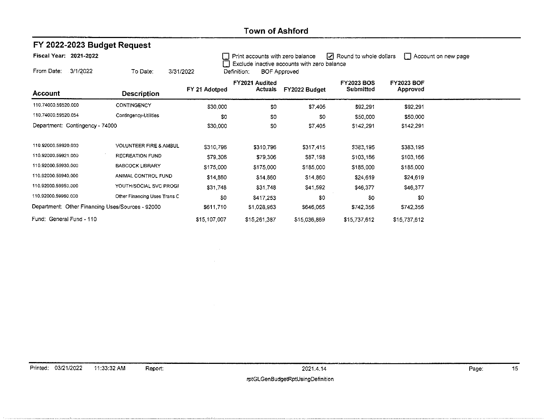| Fiscal Year: 2021-2022<br>Round to whole dollars<br>Account on new page<br>Print accounts with zero balance<br>Exclude inactive accounts with zero balance |                                   |               |                           |                     |                                |                               |  |  |
|------------------------------------------------------------------------------------------------------------------------------------------------------------|-----------------------------------|---------------|---------------------------|---------------------|--------------------------------|-------------------------------|--|--|
| From Date:<br>3/1/2022                                                                                                                                     | To Date:                          | 3/31/2022     | Definition:               | <b>BOF Approved</b> |                                |                               |  |  |
| Account                                                                                                                                                    | <b>Description</b>                | FY 21 Adotped | FY2021 Audited<br>Actuals | FY2022 Budget       | <b>FY2023 BOS</b><br>Submitted | <b>FY2023 BOF</b><br>Approved |  |  |
| 110.74000.59520.000                                                                                                                                        | CONTINGENCY                       | \$30,000      | \$0                       | \$7,405             | \$92,291                       | \$92,291                      |  |  |
| 110.74000.59520.054                                                                                                                                        | Contingency-Utilities             | \$0           | \$O                       | \$0                 | \$50,000                       | \$50,000                      |  |  |
| Department: Contingency - 74000                                                                                                                            |                                   | \$30,000      | \$0                       | \$7,405             | \$142,291                      | \$142,291                     |  |  |
| 110.92000.59920.000                                                                                                                                        | <b>VOLUNTEER FIRE &amp; AMBUL</b> | \$310,796     | \$310,796                 | \$317415            | \$383,195                      | \$383,195                     |  |  |
| 110.92000.59921.000                                                                                                                                        | <b>RECREATION FUND</b>            | \$79,306      | \$79,306                  | \$87,198            | \$103,166                      | \$103,166                     |  |  |
| 110.92000.59930.000                                                                                                                                        | <b>BABCOCK LIBRARY</b>            | \$175,000     | \$175,000                 | \$185,000           | \$185,000                      | \$185,000                     |  |  |
| 110.92000.59940,000                                                                                                                                        | ANIMAL CONTROL FUND               | \$14,860      | \$14,860                  | \$14,860            | \$24,619                       | \$24,619                      |  |  |
| 110.92000.59950.000                                                                                                                                        | YOUTH/SOCIAL SVC PROGE            | \$31,748      | \$31,748                  | \$41,592            | \$46,377                       | \$46,377                      |  |  |
| 110,92000,59960.000                                                                                                                                        | Other Financing Uses Trans C      | \$0           | \$417,253                 | \$0                 | \$0                            | \$0                           |  |  |
| Department: Other Financing Uses/Sources - 92000                                                                                                           |                                   | \$611,710     | \$1,028,963               | \$646,065           | \$742,356                      | \$742,356                     |  |  |
| Fund: General Fund - 110                                                                                                                                   |                                   | \$15,107,007  | \$15,261.387              | \$15,036,869        | \$15,737,612                   | \$15,737,612                  |  |  |

#### Printed: 03/21/2022 11:33:32 AM Report:

FY 2022-2023 Budget Request

 $\overline{15}$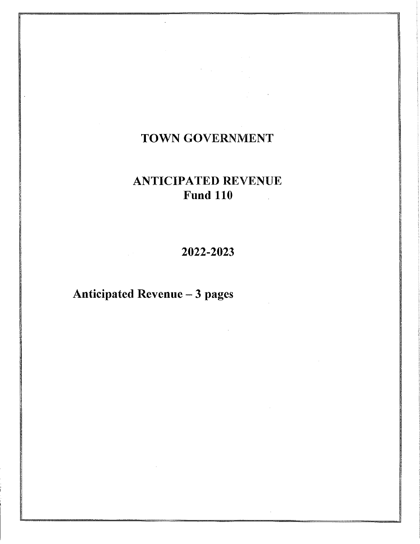# TOWN GOVERNMENT

# **ANTICIPATED REVENUE Fund 110**

2022-2023

# Anticipated Revenue - 3 pages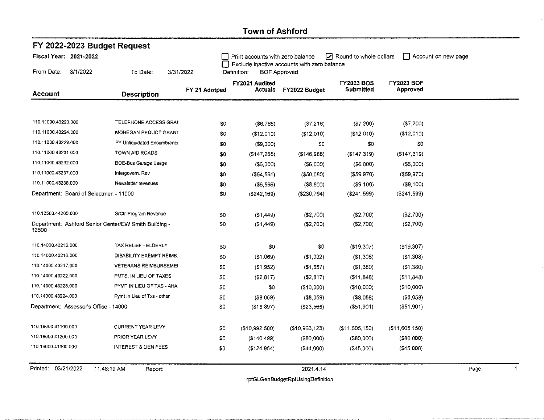| Fiscal Year: 2021-2022                                         |                                 |               | Print accounts with zero balance | Exclude inactive accounts with zero balance | Round to whole dollars                |                               | Account on new page |
|----------------------------------------------------------------|---------------------------------|---------------|----------------------------------|---------------------------------------------|---------------------------------------|-------------------------------|---------------------|
| From Date:<br>3/1/2022                                         | To Date:<br>3/31/2022           |               | Definition:                      | <b>BOF Approved</b>                         |                                       |                               |                     |
| <b>Account</b>                                                 | <b>Description</b>              | FY 21 Adotped | FY2021 Audited<br>Actuals        | FY2022 Budget                               | <b>FY2023 BOS</b><br><b>Submitted</b> | <b>FY2023 BOF</b><br>Approved |                     |
|                                                                |                                 |               |                                  |                                             |                                       |                               |                     |
| 110.11000.43220.000                                            | TELEPHONE ACCESS GRAN           | \$0           | ( \$6,768)                       | (S7, 216)                                   | (S7, 200)                             | ( \$7,200)                    |                     |
| 110.11000.43224.000                                            | MOHEGAN-PEQUOT GRANT            | \$0           | (\$12,010)                       | (\$12,010)                                  | (\$12,010)                            | ( \$12,010)                   |                     |
| 110.11000.43229.000                                            | PY Unliquidated Encumbrance     | \$0           | (\$9,000)                        | \$0                                         | \$0                                   | \$0                           |                     |
| 110.11000.43231.000                                            | TOWN AID ROADS                  | \$0           | (\$147,265)                      | (\$146,988)                                 | (\$147,319)                           | (\$147,319)                   |                     |
| 110.11000.43232.000                                            | <b>BOE-Bus Garage Usage</b>     | \$0           | ( \$6,000)                       | (\$6,000)                                   | $($ \$6,000 $)$                       | $($ \$6,000 $)$               |                     |
| 110.11000.43237.000                                            | Intergovern. Rev                | \$0           | ( \$54, 561)                     | ( \$50,080)                                 | (559, 970)                            | $($ \$59,970)                 |                     |
| 110.11000.43238.000                                            | Newsletter revenues             | \$0           | ( \$6,566)                       | ( \$8,500)                                  | (\$9,100)                             | ( \$9,100)                    |                     |
| Department: Board of Selectmen - 11000                         |                                 | \$0           | ( \$242,169)                     | (\$230,794)                                 | $($ \$241,599 $)$                     | ( \$241, 599)                 |                     |
| 110.12500.44200.000                                            | SrCtr-Program Revenue           | \$0           | (\$1,449)                        | (\$2,700)                                   | (\$2,700)                             | (\$2,700)                     |                     |
| Department: Ashford Senior Center/EW Smith Building -<br>12500 |                                 | \$0           | (\$1,449)                        | ( \$2,700)                                  | (\$2,700)                             | ( \$2,700)                    |                     |
| 110.14000.43212.000                                            | TAX RELIEF - ELDERLY            | \$0           | \$0                              | \$0                                         | (\$19,307)                            | ( \$19, 307)                  |                     |
| 110.14000.43216.000                                            | DISABILITY EXEMPT REIMB.        | \$0           | ( \$1,069)                       | (\$1,032)                                   | (\$1,308)                             | (\$1,308)                     |                     |
| 110.14000.43217.000                                            | <b>VETERANS REIMBURSEME!</b>    | \$0           | (\$1,952)                        | (\$1,657)                                   | (\$1,380)                             | (\$1,380)                     |                     |
| 110.14000.43222.000                                            | PMTS. IN LIEU OF TAXES          | \$0           | ( \$2, 817)                      | (\$2,817)                                   | ( \$11, 848)                          | (\$11,848)                    |                     |
| 110.14000,43223,000                                            | PYMT IN LIEU OF TXS - AHA       | \$0           | \$0                              | (\$10,000)                                  | $($ \$10,000 $)$                      | (\$10,000)                    |                     |
| 110.14000.43224.000                                            | Pymt In Lieu of Txs - other     | \$0           | ( \$8,059)                       | ( \$8,059)                                  | (S3,058)                              | ( \$8,058)                    |                     |
| Department: Assessor's Office - 14000                          |                                 | \$0           | ( \$13, 897)                     | $($ \$23,565)                               | (551, 901)                            | (551, 901)                    |                     |
| 110.16000.41100.000                                            | <b>CURRENT YEAR LEVY</b>        | \$0           | (\$10,992,500)                   | (\$10,963,123)                              | (\$11,605,150)                        | (\$11,605,150)                |                     |
| 110.16000.41200.000                                            | PRIOR YEAR LEVY                 | \$0           | ( \$140,499)                     | ( \$80,000)                                 | (580,000)                             | $($ \$80,000 $)$              |                     |
| 110.16000.41300.000                                            | <b>INTEREST &amp; LIEN FEES</b> | \$0           | ( \$124, 954)                    | ( \$44,000)                                 | (545,000)                             | (545,000)                     |                     |
| Printed: 03/21/2022                                            | 11:48:19 AM<br>Report:          |               |                                  | 2021.4.14                                   |                                       |                               | Page:               |

 $\sim$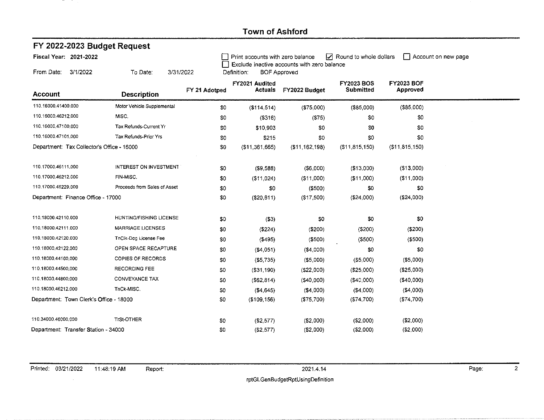| FY 2022-2023 Budget Request                      |                              |               |                                                                                                                                                                        |                   |                                       |                               |  |  |  |  |  |
|--------------------------------------------------|------------------------------|---------------|------------------------------------------------------------------------------------------------------------------------------------------------------------------------|-------------------|---------------------------------------|-------------------------------|--|--|--|--|--|
| Fiscal Year: 2021-2022<br>From Date:<br>3/1/2022 | To Date:<br>3/31/2022        |               | Round to whole dollars<br>Print accounts with zero balance<br>Account on new page<br>Exclude inactive accounts with zero balance<br>Definition:<br><b>BOF Approved</b> |                   |                                       |                               |  |  |  |  |  |
| <b>Account</b>                                   | <b>Description</b>           | FY 21 Adotped | FY2021 Audited<br>Actuals                                                                                                                                              | FY2022 Budget     | <b>FY2023 BOS</b><br><b>Submitted</b> | <b>FY2023 BOF</b><br>Approved |  |  |  |  |  |
| 110.16000.41400.000                              | Motor Vehicle Supplemental   | \$0           | ( \$114, 514)                                                                                                                                                          | (\$75,000)        | (\$85,000)                            | (\$85,000)                    |  |  |  |  |  |
| 110.16000.46212.000                              | MISC.                        | \$0           | $($ \$316)                                                                                                                                                             | (575)             | \$0                                   | \$0                           |  |  |  |  |  |
| 110.16000.47100.000                              | Tax Refunds-Current Yr       | \$0           | \$10,903                                                                                                                                                               | \$0               | \$0                                   | \$0                           |  |  |  |  |  |
| 110.16000.47101.000                              | Tax Refunds-Prior Yrs        | \$0           | \$215                                                                                                                                                                  | \$0               | \$0                                   | \$0                           |  |  |  |  |  |
| Department: Tax Collector's Office - 16000       |                              | \$0           | $($ \$11,361,665 $)$                                                                                                                                                   | $($ \$11,162,198) | ( \$11, 815, 150)                     | $($ \$11,815,150)             |  |  |  |  |  |
| 110.17000.46111.000                              | INTEREST ON INVESTMENT       | \$0           | (\$9,588)                                                                                                                                                              | ( \$6,000)        | ( \$13,000)                           | (\$13,000)                    |  |  |  |  |  |
| 110.17000.46212.000                              | FIN-MISC.                    | \$0           | ( \$11,024)                                                                                                                                                            | (\$11,000)        | (\$11,000)                            | ( \$11,000)                   |  |  |  |  |  |
| 110,17000,46229,000                              | Proceeds from Sales of Asset | \$0           | \$0                                                                                                                                                                    | ( \$500)          | \$0                                   | \$0                           |  |  |  |  |  |
| Department: Finance Office - 17000               |                              | \$0           | (\$20,611)                                                                                                                                                             | (\$17,500)        | (\$24,000)                            | ( \$24,000)                   |  |  |  |  |  |
| 110.18000.42110.000                              | HUNTING/FISHING LICENSE      | \$0           | $($ \$3)                                                                                                                                                               | \$0               | \$0                                   | \$0                           |  |  |  |  |  |
| 110,18000,42111.000                              | <b>MARRIAGE LICENSES</b>     | \$0           | $($ \$224 $)$                                                                                                                                                          | ( \$200)          | (\$200)                               | ( \$200)                      |  |  |  |  |  |
| 110.18000.42120.000                              | TnClk-Dog License Fee        | \$0           | ( \$495)                                                                                                                                                               | ( \$500)          | ( \$500)                              | $($ \$500)                    |  |  |  |  |  |
| 110.18000.42122.000                              | OPEN SPACE RECAPTURE         | \$0           | ( \$4,051)                                                                                                                                                             | ( \$4,000)        | \$0                                   | \$0                           |  |  |  |  |  |
| 110.18000.44100.000                              | <b>COPIES OF RECORDS</b>     | \$0           | ( \$5,735)                                                                                                                                                             | ( \$5,000)        | ( \$5,000)                            | (\$5,000)                     |  |  |  |  |  |
| 110.18000.44500.000                              | <b>RECORDING FEE</b>         | \$0           | ( \$31, 190)                                                                                                                                                           | ( \$22,000)       | (\$25,000)                            | ( \$25,000)                   |  |  |  |  |  |
| 110.18000,44800,000                              | CONVEYANCE TAX               | \$0           | (\$62, 814)                                                                                                                                                            | (\$40,000)        | ( \$40,000)                           | (\$40,000)                    |  |  |  |  |  |
| 110.18000.46212.000                              | TnCk-MISC.                   | \$0           | (\$4,645)                                                                                                                                                              | (\$4,000)         | (\$4,000)                             | (\$4,000)                     |  |  |  |  |  |
| Department: Town Clerk's Office - 18000          |                              | \$0           | ( \$109, 156)                                                                                                                                                          | (\$75,700)        | (574, 700)                            | (\$74,700)                    |  |  |  |  |  |
| 110.34000.46000.000                              | TrSt-OTHER                   | \$0           | (\$2,577)                                                                                                                                                              | (\$2,000)         | ( \$2,000)                            | (\$2,000)                     |  |  |  |  |  |
| Department: Transfer Station - 34000             |                              | \$0           | ( \$2,577)                                                                                                                                                             | (S2,000)          | ( \$2,000)                            | ( \$2,000)                    |  |  |  |  |  |

 $\sim$ 

 $\overline{2}$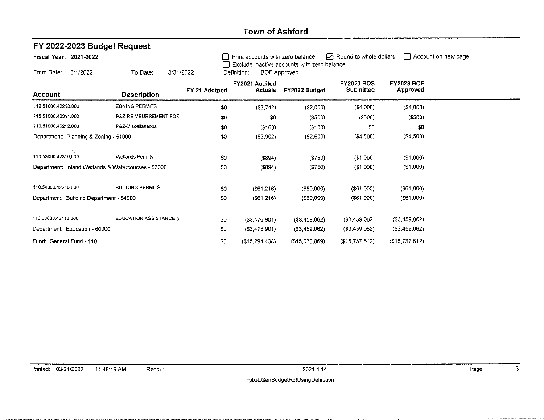| Fiscal Year: 2021-2022<br>From Date:<br>3/1/2022   | 3/31/2022<br>To Date:   |                | Round to whole dollars<br>Account on new page<br>Print accounts with zero balance<br>Exclude inactive accounts with zero balance<br><b>BOF Approved</b><br>Definition: |                  |                                |                               |  |  |  |  |
|----------------------------------------------------|-------------------------|----------------|------------------------------------------------------------------------------------------------------------------------------------------------------------------------|------------------|--------------------------------|-------------------------------|--|--|--|--|
| Account                                            | <b>Description</b>      | FY 21 Adotped  | FY2021 Audited<br>Actuals                                                                                                                                              | FY2022 Budget    | <b>FY2023 BOS</b><br>Submitted | <b>FY2023 BOF</b><br>Approved |  |  |  |  |
| 110,51000.42213.000                                | ZONING PERMITS          | \$0            | ( \$3, 742)                                                                                                                                                            | (\$2,000)        | ( \$4,000)                     | ( \$4,000)                    |  |  |  |  |
| 110,51000.42311,000                                | P&Z-REIMBURSEMENT FOR   | \$0            | \$0                                                                                                                                                                    | $($ \$500)       | (5500)                         | (5500)                        |  |  |  |  |
| 110.51000.46212.000                                | P&Z-Miscellaneous       | S <sub>0</sub> | ( \$160)                                                                                                                                                               | ( \$100)         | \$0                            | \$0                           |  |  |  |  |
| Department: Planning & Zoning - 51000              |                         | \$0            | (53,902)                                                                                                                                                               | ( \$2,600)       | ( \$4,500)                     | (\$4,500)                     |  |  |  |  |
| 110.53000.42310.000                                | <b>Wetlands Permits</b> | \$0            | $($ \$894 $)$                                                                                                                                                          | (\$750)          | ( \$1,000)                     | (51,000)                      |  |  |  |  |
| Department: Inland Wetlands & Watercourses - 53000 |                         | \$0            | $($ \$894 $)$                                                                                                                                                          | $($ \$750)       | (\$1,000)                      | ( \$1,000)                    |  |  |  |  |
| 110.54000.42210.000                                | <b>BUILDING PERMITS</b> | \$0            | $($ \$61,216)                                                                                                                                                          | $($ \$60,000 $)$ | $($ \$61,000 $)$               | $($ \$61,000 $)$              |  |  |  |  |
| Department: Building Department - 54000            |                         | \$0            | (S61, 216)                                                                                                                                                             | $($ \$60,000)    | $($ \$61,000)                  | $($ \$61,000 $)$              |  |  |  |  |
| 110.60000.43110.000                                | EDUCATION ASSISTANCE (I | \$0            | (53, 476, 901)                                                                                                                                                         | ( \$3,459,062)   | $($ \$3.459,062 $)$            | ( \$3,459,062)                |  |  |  |  |
| Department: Education - 60000                      |                         | \$0            | ( \$3,476,901)                                                                                                                                                         | ( \$3,459,062)   | $($ \$3,459,062 $)$            | (53, 459, 062)                |  |  |  |  |
| Fund: General Fund - 110                           |                         | \$0            | (\$15,294,438)                                                                                                                                                         | (\$15,036,869)   | (\$15,737,612)                 | (\$15,737,612)                |  |  |  |  |

مستشفين والمستنبذ

FY 2022-2023 Budget Request

 $\overline{\mathbf{3}}$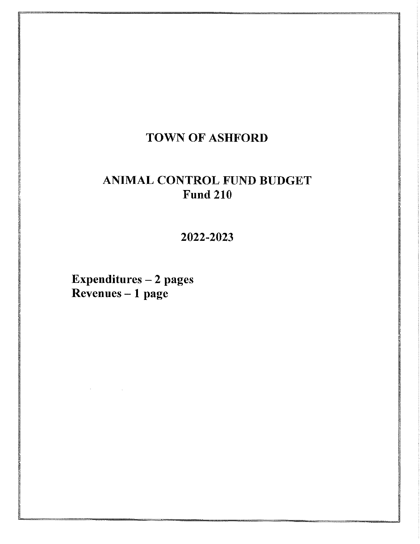## **TOWN OF ASHFORD**

# ANIMAL CONTROL FUND BUDGET **Fund 210**

2022-2023

Expenditures  $-2$  pages Revenues - 1 page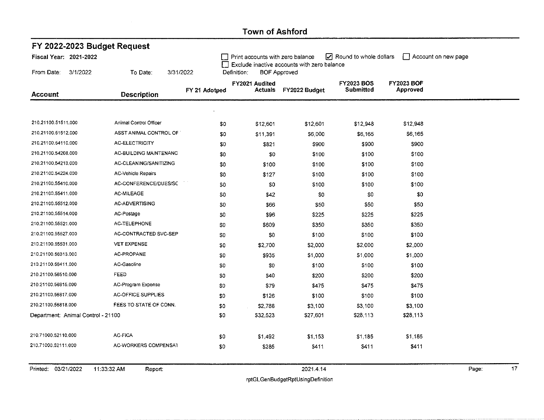| FY 2022-2023 Budget Request        |                               |               |                                  |                                                                    |                          |                     |  |
|------------------------------------|-------------------------------|---------------|----------------------------------|--------------------------------------------------------------------|--------------------------|---------------------|--|
| Fiscal Year: 2021-2022             |                               |               | Print accounts with zero balance |                                                                    | Z Round to whole dollars | Account on new page |  |
| From Date:<br>3/1/2022             | To Date:<br>3/31/2022         | Definition:   |                                  | Exclude inactive accounts with zero balance<br><b>BOF Approved</b> |                          |                     |  |
|                                    |                               |               | FY2021 Audited                   |                                                                    | <b>FY2023 BOS</b>        | <b>FY2023 BOF</b>   |  |
| <b>Account</b>                     | <b>Description</b>            | FY 21 Adotped | <b>Actuals</b>                   | FY2022 Budget                                                      | Submitted                | Approved            |  |
|                                    |                               |               |                                  |                                                                    |                          |                     |  |
|                                    |                               |               |                                  |                                                                    |                          |                     |  |
| 210.21100.51511.000                | Animal Control Officer        | \$0           | \$12,601                         | \$12,601                                                           | \$12,948                 | \$12,948            |  |
| 210,21100,51512.000                | ASST ANIMAL CONTROL OF        | \$0           | \$11,391                         | \$6,000                                                            | \$6,165                  | \$6,165             |  |
| 210.21100.54110.000                | AC-ELECTRICITY                | \$0           | \$821                            | \$900                                                              | \$900                    | \$900               |  |
| 210.21100.54208.000                | <b>AC-BUILDING MAINTENANC</b> | \$0           | \$0                              | \$100                                                              | \$100                    | \$100               |  |
| 210.21100.54213.000                | AC-CLEANING/SANITIZING        | \$0           | \$100                            | \$100                                                              | \$100                    | \$100               |  |
| 210.21100.54224,000                | <b>AC-Vehicle Repairs</b>     | \$0           | \$127                            | \$100                                                              | \$100                    | \$100               |  |
| 210.21100.55410.000                | AC-CONFERENCE/DUES/SC         | \$0           | \$0                              | \$100                                                              | \$100                    | \$100               |  |
| 210.21100.55411.000                | <b>AC-MILEAGE</b>             | \$0           | \$42                             | \$0                                                                | \$0                      | \$0                 |  |
| 210.21100.55512.000                | AC-ADVERTISING                | \$0           | \$66                             | \$50                                                               | \$50                     | \$50                |  |
| 210.21100.55514.000                | AC-Postage                    | \$0           | \$96                             | \$225                                                              | \$225                    | \$225               |  |
| 210.21100.55521.000                | <b>AC-TELEPHONE</b>           | \$0           | \$609                            | \$350                                                              | \$350                    | \$350               |  |
| 210.21100.55527.000                | AC-CONTRACTED SVC-SEP         | \$0           | \$0                              | \$100                                                              | \$100                    | \$100               |  |
| 210.21100.55531.000                | <b>VET EXPENSE</b>            | \$0           | \$2,700                          | \$2,000                                                            | \$2,000                  | \$2,000             |  |
| 210.21100.56313.000                | AC-PROPANE                    | \$0           | \$935                            | \$1,000                                                            | \$1,000                  | \$1,000             |  |
| 210.21100.56411.000                | AC-Gasoline                   | \$0           | \$0                              | \$100                                                              | \$100                    | \$100               |  |
| 210.21100.56510.000                | FEED                          | \$0           | \$40                             | \$200                                                              | \$200                    | \$200               |  |
| 210.21100.56815.000                | AC-Program Expense            | \$0           | \$79                             | \$475                                                              | \$475                    | \$475               |  |
| 210.21100.56817.000                | <b>AC-OFFICE SUPPLIES</b>     | \$0           | \$126                            | \$100                                                              | \$100                    | \$100               |  |
| 210.21100.56818.000                | FEES TO STATE OF CONN.        | \$0           | \$2,788                          | \$3,100                                                            | \$3,100                  | \$3,100             |  |
| Department: Animal Control - 21100 |                               | \$0           | \$32,523                         | \$27,601                                                           | \$28,113                 | \$28,113            |  |
|                                    |                               |               |                                  |                                                                    |                          |                     |  |
| 210.71000.52110,000                | AC-FICA                       | \$0           | \$1,492                          | \$1,153                                                            | \$1,185                  | \$1,185             |  |
| 210.71000.52111.000                | AC-WORKERS COMPENSAT          | \$0           | \$285                            | \$411                                                              | \$411                    | \$411               |  |

Printed: 03/21/2022 11:33:32 AM Report: 2021.4.14

Page:

 $\overline{17}$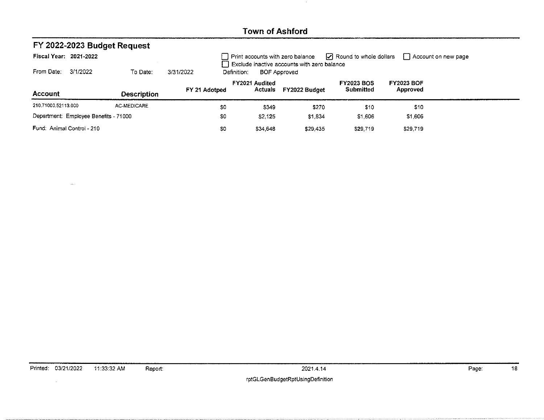|                            | FY 2022-2023 Budget Request           |                    |               |                |                     |                                             |                        |                   |                     |  |
|----------------------------|---------------------------------------|--------------------|---------------|----------------|---------------------|---------------------------------------------|------------------------|-------------------|---------------------|--|
| Fiscal Year: 2021-2022     |                                       |                    |               |                |                     | Print accounts with zero balance            | Round to whole dollars |                   | Account on new page |  |
|                            |                                       |                    |               |                |                     | Exclude inactive accounts with zero balance |                        |                   |                     |  |
| From Date:                 | 3/1/2022                              | To Date:           | 3/31/2022     | Definition:    |                     | <b>BOF Approved</b>                         |                        |                   |                     |  |
|                            |                                       |                    |               | FY2021 Audited |                     |                                             | <b>FY2023 BOS</b>      | <b>FY2023 BOF</b> |                     |  |
| Account                    |                                       | <b>Description</b> | FY 21 Adotped |                | Actuals             | FY2022 Budget                               | Submitted              | Approved          |                     |  |
| 210.71000.52113.000        |                                       | AC-MEDICARE        |               | \$0            | \$349               | \$270                                       | \$10                   | \$10              |                     |  |
|                            | Department: Employee Benefits - 71000 |                    |               | \$0            | S <sub>2</sub> .125 | \$1,834                                     | \$1,606                | \$1,606           |                     |  |
| Fund: Animal Control - 210 |                                       |                    |               | \$0            | \$34,648            | \$29,435                                    | \$29,719               | \$29,719          |                     |  |

 $\mathcal{L}^{\text{max}}_{\text{max}}$ 

 $\omega_{\rm{tot}}$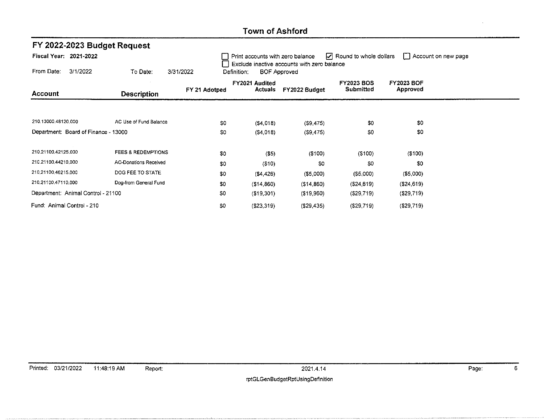| FY 2022-2023 Budget Request          |                               |               |                                                                                                                                                        |                           |               |                                |                               |  |  |  |  |
|--------------------------------------|-------------------------------|---------------|--------------------------------------------------------------------------------------------------------------------------------------------------------|---------------------------|---------------|--------------------------------|-------------------------------|--|--|--|--|
| Fiscal Year: 2021-2022               |                               |               | $\boxed{\phantom{1}}$ Round to whole dollars<br>Account on new page<br>Print accounts with zero balance<br>Exclude inactive accounts with zero balance |                           |               |                                |                               |  |  |  |  |
| 3/1/2022<br>From Date:               | 3/31/2022                     | Definition:   | <b>BOF Approved</b>                                                                                                                                    |                           |               |                                |                               |  |  |  |  |
| Account                              | <b>Description</b>            | FY 21 Adotped |                                                                                                                                                        | FY2021 Audited<br>Actuals | FY2022 Budget | <b>FY2023 BOS</b><br>Submitted | <b>FY2023 BOF</b><br>Approved |  |  |  |  |
|                                      |                               |               |                                                                                                                                                        |                           |               |                                |                               |  |  |  |  |
| 210.13000.48120.000                  | AC Use of Fund Balance        |               | \$0                                                                                                                                                    | ( \$4,018)                | ( \$9,475)    | \$0                            | \$0                           |  |  |  |  |
| Department: Board of Finance - 13000 |                               |               | \$0                                                                                                                                                    | ( \$4,018)                | $($ \$9,475)  | \$0                            | \$0                           |  |  |  |  |
| 210.21100.42125.000                  | <b>FEES &amp; REDEMPTIONS</b> |               | \$0                                                                                                                                                    | $($ \$5 $)$               | $($ \$100 $)$ | ( \$100)                       | $($ \$100)                    |  |  |  |  |
| 210.21100.44210.000                  | <b>AC-Donations Received</b>  |               | \$0                                                                                                                                                    | (510)                     | \$0           | \$0                            | \$0                           |  |  |  |  |
| 210.21100.46215.000                  | DOG FEE TO STATE              |               | \$0                                                                                                                                                    | ( \$4,426)                | $($ \$5,000)  | $($ \$5,000)                   | ( \$5,000)                    |  |  |  |  |
| 210.21100.47110.000                  | Dog-from General Fund         |               | \$0                                                                                                                                                    | ( \$14, 860)              | ( \$14, 860)  | ( \$24, 619)                   | ( \$24, 619)                  |  |  |  |  |
| Department: Animal Control - 21100   |                               |               | \$0                                                                                                                                                    | ( \$19,301)               | ( \$19,960)   | ( \$29,719)                    | $($ \$29,719 $)$              |  |  |  |  |
| Fund: Animal Control - 210           |                               |               | \$0                                                                                                                                                    | ( \$23, 319)              | (29, 435)     | ( \$29,719)                    | ( \$29,719)                   |  |  |  |  |

 $6$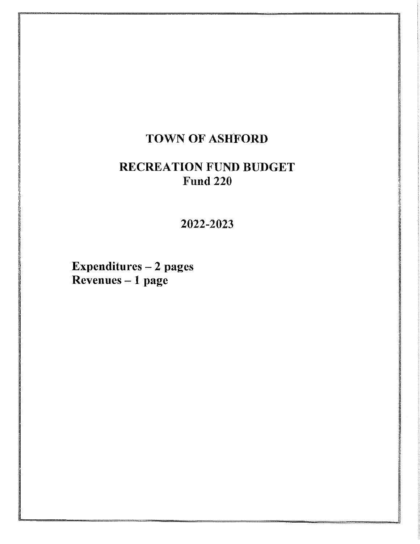# **TOWN OF ASHFORD**

# **RECREATION FUND BUDGET Fund 220**

2022-2023

Expenditures - 2 pages Revenues - 1 page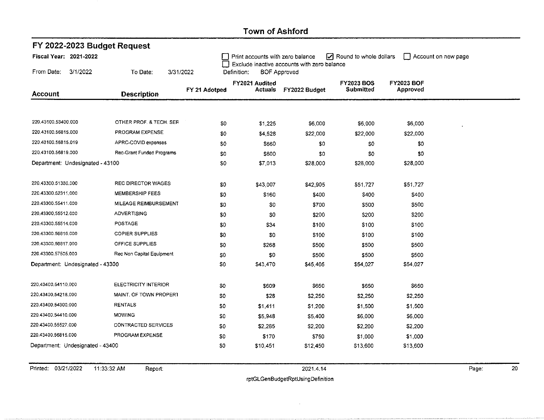| FY 2022-2023 Budget Request      |                           |               |                                    |                                             |                         |                               |                     |
|----------------------------------|---------------------------|---------------|------------------------------------|---------------------------------------------|-------------------------|-------------------------------|---------------------|
| Fiscal Year: 2021-2022           |                           |               | Print accounts with zero balance   |                                             | Round to whole dollars  |                               | Account on new page |
| From Date:<br>3/1/2022           | To Date:<br>3/31/2022     |               | Definition:<br><b>BOF Approved</b> | Exclude inactive accounts with zero balance |                         |                               |                     |
| <b>Account</b>                   | <b>Description</b>        | FY 21 Adotped | FY2021 Audited<br><b>Actuals</b>   | FY2022 Budget                               | FY2023 BOS<br>Submitted | <b>FY2023 BOF</b><br>Approved |                     |
|                                  |                           |               |                                    |                                             |                         |                               |                     |
| 220.43100.53400.000              | OTHER PROF. & TECH. SER   | \$0           | \$1,225                            | \$6,000                                     | \$6,000                 | \$6,000                       |                     |
| 220.43100.56815.000              | PROGRAM EXPENSE           | \$0           | \$4,528                            | \$22,000                                    | \$22,000                | \$22,000                      |                     |
| 220.43100.56815,019              | APRC-COVID expenses       | \$0           | \$660                              | \$0                                         | \$0                     | \$0                           |                     |
| 220.43100.56819.000              | Rec-Grant Funded Programs | \$0           | \$600                              | \$0                                         | \$0                     | \$0                           |                     |
| Department: Undesignated - 43100 |                           | \$0           | \$7,013                            | \$28,000                                    | \$28,000                | \$28,000                      |                     |
|                                  |                           |               |                                    |                                             |                         |                               |                     |
| 220.43300.51330.000              | <b>REC DIRECTOR WAGES</b> | \$0           | \$43,007                           | \$42,905                                    | \$51,727                | \$51,727                      |                     |
| 220.43300.52311.000              | <b>MEMBERSHIP FEES</b>    | \$0           | \$160                              | \$400                                       | \$400                   | \$400                         |                     |
| 220.43300.55411.000              | MILEAGE REIMBURSEMENT     | \$0           | \$0                                | \$700                                       | \$500                   | \$500                         |                     |
| 220,43300,55512.000              | <b>ADVERTISING</b>        | \$0           | \$0                                | \$200                                       | \$200                   | \$200                         |                     |
| 220.43300.55514.000              | POSTAGE                   | \$0           | \$34                               | \$100                                       | \$100                   | \$100                         |                     |
| 220.43300.56816.000              | <b>COPIER SUPPLIES</b>    | \$0           | \$0                                | \$100                                       | \$100                   | \$100                         |                     |
| 220.43300.56817.000              | OFFICE SUPPLIES           | \$0           | \$268                              | \$500                                       | \$500                   | \$500                         |                     |
| 220.43300,57505,000              | Rec Non Capital Equipment | \$0           | \$0                                | \$500                                       | \$500                   | \$500                         |                     |
| Department: Undesignated - 43300 |                           | \$0           | \$43,470                           | \$45,405                                    | \$54,027                | \$54,027                      |                     |
|                                  |                           |               |                                    |                                             |                         |                               |                     |
| 220.43400.54110.000              | ELECTRICITY INTERIOR      | \$0           | \$609                              | \$650                                       | \$650                   | \$650                         |                     |
| 220,43400,54218,000              | MAINT, OF TOWN PROPERT    | \$0           | \$28                               | \$2,250                                     | \$2,250                 | \$2,250                       |                     |
| 220.43400.54300.000              | <b>RENTALS</b>            | \$0           | \$1,411                            | \$1,200                                     | \$1,500                 | \$1,500                       |                     |
| 220.43400.54410.000              | <b>MOWING</b>             | \$0           | \$5,948                            | \$5,400                                     | \$6,000                 | \$6,000                       |                     |
| 220.43400.55527.000              | CONTRACTED SERVICES       | \$0           | \$2,285                            | \$2,200                                     | \$2,200                 | \$2,200                       |                     |
| 220.43400.56815.000              | PROGRAM EXPENSE           | \$0           | \$170                              | \$750                                       | \$1,000                 | \$1,000                       |                     |
| Department: Undesignated - 43400 |                           | \$0           | \$10,451                           | \$12,450                                    | \$13,600                | \$13,600                      |                     |

Printed: 03/21/2022 11:33:32 AM

Report:

2021.4.14

 $\sim$ 

rptGLGenBudgetRptUsingDefinition

 $\overline{20}$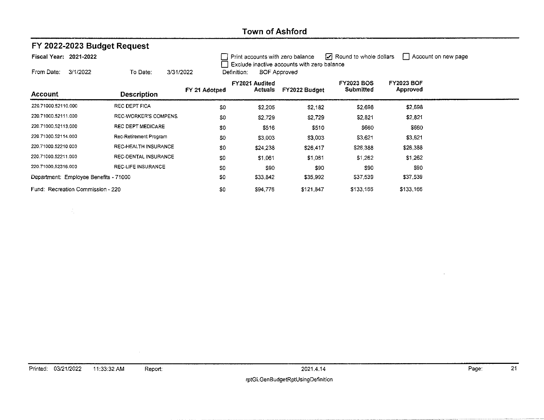| FY 2022-2023 Budget Request           |                              |               |                                  |                                                                    |                                |                               |                     |  |
|---------------------------------------|------------------------------|---------------|----------------------------------|--------------------------------------------------------------------|--------------------------------|-------------------------------|---------------------|--|
| Fiscal Year: 2021-2022                |                              |               |                                  | Print accounts with zero balance                                   | I Round to whole dollars       |                               | Account on new page |  |
| 3/1/2022<br>From Date:                | 3/31/2022<br>To Date:        | Definition:   |                                  | Exclude inactive accounts with zero balance<br><b>BOF Approved</b> |                                |                               |                     |  |
| Account                               | <b>Description</b>           | FY 21 Adotped | FY2021 Audited<br><b>Actuals</b> | FY2022 Budget                                                      | <b>FY2023 BOS</b><br>Submitted | <b>FY2023 BOF</b><br>Approved |                     |  |
| 220.71000.52110.000                   | REC DEPT FICA                | \$0           | \$2,205                          | \$2,182                                                            | \$2,698                        | \$2,698                       |                     |  |
| 220.71000.52111.000                   | <b>REC-WORKER'S COMPENS.</b> | \$0           | \$2,729                          | \$2,729                                                            | \$2,821                        | \$2,321                       |                     |  |
| 220.71000.52113.000                   | REC DEPT MEDICARE            | \$0           | \$516                            | \$510                                                              | \$660                          | \$660                         |                     |  |
| 220.71000.52114.000                   | Rec-Retirement Program       | \$0           | \$3,003                          | \$3,003                                                            | \$3,621                        | \$3,621                       |                     |  |
| 220,71000.52210.000                   | REC-HEALTH INSURANCE         | \$0           | \$24,238                         | \$26,417                                                           | \$26,388                       | \$26,388                      |                     |  |
| 220.71000.52211.000                   | REC-DENTAL INSURANCE         | \$0           | \$1,061                          | \$1,061                                                            | \$1,262                        | \$1,262                       |                     |  |
| 220.71000,52316.000                   | <b>REC-LIFE INSURANCE</b>    | \$0           | \$90                             | \$90                                                               | \$90                           | \$90                          |                     |  |
| Department: Employee Benefits - 71000 |                              | \$0           | \$33,842                         | \$35,992                                                           | \$37,539                       | \$37,539                      |                     |  |
| Fund: Recreation Commission - 220     |                              | \$0           | \$94,776                         | \$121,847                                                          | \$133,166                      | \$133,166                     |                     |  |

 $\sim 10^6$ 

 $\sim$ 

 $\overline{21}$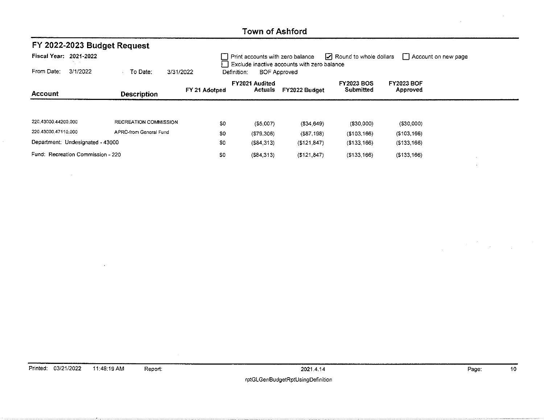| FY 2022-2023 Budget Request       |                              |               |                                  |                                                                    |                                         |                               |                     |
|-----------------------------------|------------------------------|---------------|----------------------------------|--------------------------------------------------------------------|-----------------------------------------|-------------------------------|---------------------|
| Fiscal Year: 2021-2022            |                              |               | Print accounts with zero balance |                                                                    | $\triangleright$ Round to whole dollars |                               | Account on new page |
| From Date:<br>3/1/2022            | To Date:                     | 3/31/2022     | Definition:                      | Exclude inactive accounts with zero balance<br><b>BOF Approved</b> |                                         |                               |                     |
| Account                           | <b>Description</b>           | FY 21 Adotped | FY2021 Audited<br>Actuals        | FY2022 Budget                                                      | <b>FY2023 BOS</b><br>Submitted          | <b>FY2023 BOF</b><br>Approved |                     |
|                                   |                              |               |                                  |                                                                    |                                         |                               |                     |
| 220,43000.44200.000               | <b>RECREATION COMMISSION</b> | \$0           | $($ \$5,007 $)$                  | (334, 649)                                                         | $($ \$30,000)                           | $($ \$30,000 $)$              |                     |
| 220.43000.47110.000               | APRC-from General Fund       | \$0           | (579,306)                        | (587, 198)                                                         | ( \$103, 166)                           | (\$103,166)                   |                     |
| Department: Undesignated - 43000  |                              | \$0           | (584, 313)                       | ( \$121.847)                                                       | (\$133,166)                             | (\$133,166)                   |                     |
| Fund: Recreation Commission - 220 |                              | \$0           | (584, 313)                       | (\$121,847)                                                        | ( \$133, 166)                           | (\$133,166)                   |                     |

 $\mathcal{L}_{\mathcal{A}}$ 

 $\mathcal{L}^{\pm}$ 

 $\sim$ 

 $\sim$ 

 $\bar{\mathbf{r}}$ 

 $\mathcal{L}^{\text{max}}_{\text{max}}$  and  $\mathcal{L}^{\text{max}}_{\text{max}}$ 

 $10$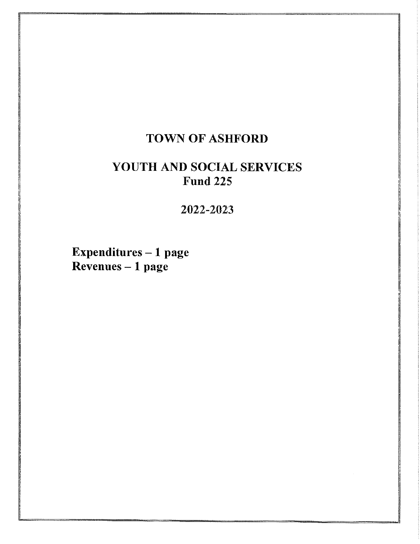# **TOWN OF ASHFORD**

# YOUTH AND SOCIAL SERVICES **Fund 225**

2022-2023

Expenditures  $-1$  page Revenues - 1 page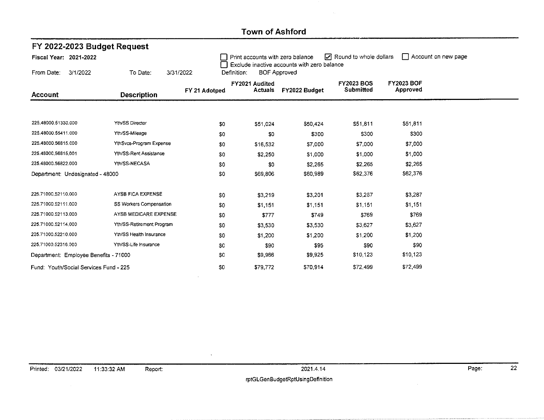| FY 2022-2023 Budget Request            |                           |               |                                  |                                                                    |                                |                               |                     |
|----------------------------------------|---------------------------|---------------|----------------------------------|--------------------------------------------------------------------|--------------------------------|-------------------------------|---------------------|
| Fiscal Year: 2021-2022                 |                           |               | Print accounts with zero balance |                                                                    | Round to whole dollars         |                               | Account on new page |
| 3/1/2022<br>From Date:                 | To Date:                  | 3/31/2022     | Definition:                      | Exclude inactive accounts with zero balance<br><b>BOF Approved</b> |                                |                               |                     |
| <b>Account</b>                         | <b>Description</b>        | FY 21 Adotped | FY2021 Audited<br><b>Actuals</b> | FY2022 Budget                                                      | <b>FY2023 BOS</b><br>Submitted | <b>FY2023 BOF</b><br>Approved |                     |
|                                        |                           |               |                                  |                                                                    |                                |                               |                     |
| 225.48000.51330.000                    | Yth/SS Director           | \$0           | \$51,024                         | \$50,424                                                           | \$51,811                       | \$51,811                      |                     |
| 225.48000.55411.000                    | Yth/SS-Mileage            | \$0           | \$0                              | \$300                                                              | \$300                          | \$300                         |                     |
| 225.48000.56815.000                    | YthSvcs-Program Expense   | \$0           | \$16,532                         | \$7,000                                                            | \$7,000                        | \$7,000                       |                     |
| 225.48000,56815,001                    | Yth/SS-Rent Assistance    | \$0           | \$2,250                          | \$1,000                                                            | \$1,000                        | \$1,000                       |                     |
| 225.48000.56822.000                    | Yth/SS-NECASA             | \$0           | \$0                              | \$2,265                                                            | \$2,265                        | \$2,265                       |                     |
| Department: Undesignated - 48000       |                           | \$0           | \$69,806                         | \$60,989                                                           | \$62,376                       | \$62,376                      |                     |
| 225.71000.52110.000                    | AYSB FICA EXPENSE         | \$0           | \$3,219                          | \$3,201                                                            | \$3,287                        | \$3,287                       |                     |
| 225.71000.52111.000                    | SS Workers Compensation   | \$0           | \$1,151                          | \$1,151                                                            | \$1,151                        | \$1,151                       |                     |
| 225.71000.52113.000                    | AYSB MEDICARE EXPENSE     | \$0           | \$777                            | \$749                                                              | \$769                          | \$769                         |                     |
| 225.71000.52114.000                    | Yth/SS-Retirement Program | \$0           | \$3,530                          | \$3,530                                                            | \$3,627                        | \$3,627                       |                     |
| 225.71000.52210.000                    | Yth/SS Health Insurance   | \$0           | \$1,200                          | \$1,200                                                            | \$1,200                        | \$1,200                       |                     |
| 225.71000.52316.000                    | Yth/SS-Life Insurance     | \$0           | \$90                             | \$95                                                               | \$90                           | \$90                          |                     |
| Department: Employee Benefits - 71000  |                           | \$0           | \$9,966                          | \$9,925                                                            | \$10,123                       | \$10,123                      |                     |
| Fund: Youth/Social Services Fund - 225 |                           | \$0           | \$79,772                         | \$70,914                                                           | \$72,499                       | \$72,499                      |                     |

 $\sim 10^7$ 

 $\sim$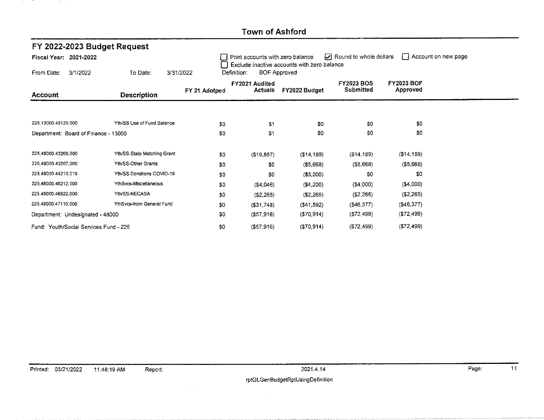| FY 2022-2023 Budget Request            |                             |                          |                                                                                                                                    |               |                                |                               |  |  |  |
|----------------------------------------|-----------------------------|--------------------------|------------------------------------------------------------------------------------------------------------------------------------|---------------|--------------------------------|-------------------------------|--|--|--|
| Fiscal Year: 2021-2022                 |                             |                          | Round to whole dollars<br>  Account on new page<br>Print accounts with zero balance<br>Exclude inactive accounts with zero balance |               |                                |                               |  |  |  |
| 3/1/2022<br>From Date:                 | To Date:                    | 3/31/2022<br>Definition: | <b>BOF Approved</b>                                                                                                                |               |                                |                               |  |  |  |
| Account                                | <b>Description</b>          | FY 21 Adotped            | FY2021 Audited<br><b>Actuals</b>                                                                                                   | FY2022 Budget | <b>FY2023 BOS</b><br>Submitted | <b>FY2023 BOF</b><br>Approved |  |  |  |
|                                        |                             |                          |                                                                                                                                    |               |                                |                               |  |  |  |
| 225.13000.48120.000                    | Yth/SS Use of Fund Balance  | \$0                      | \$1                                                                                                                                | \$0           | \$0                            | \$0                           |  |  |  |
| Department: Board of Finance - 13000   |                             | \$0                      | \$1                                                                                                                                | \$0           | \$0                            | \$0                           |  |  |  |
|                                        |                             |                          |                                                                                                                                    |               |                                |                               |  |  |  |
| 225,48000.43206.000                    | Yth/SS-State Matching Grant | \$0                      | ( \$19, 857)                                                                                                                       | (\$14,189)    | (514, 189)                     | ( \$14, 189)                  |  |  |  |
| 225.48000.43207.000                    | Yth/SS-Other Grants         | \$0                      | \$0                                                                                                                                | ( \$5,668)    | (55,668)                       | ( \$5,668)                    |  |  |  |
| 225.48000.44210.019                    | Yth/SS Donations COVID-19   | \$0                      | \$0                                                                                                                                | ( \$3,000)    | \$0                            | \$0                           |  |  |  |
| 225,48000,46212,000                    | YthSvcs-Miscellaneous       | \$0                      | ( \$4,046)                                                                                                                         | (\$4,200)     | (\$4,000)                      | ( \$4,000)                    |  |  |  |
| 225.48000.46822.000                    | Yth/SS-NECASA               | \$0                      | (\$2,265)                                                                                                                          | ( \$2,265)    | (\$2,265)                      | (\$2,265)                     |  |  |  |
| 225.48000,47110,000                    | YthSvcs-from General Fund   | \$0                      | $($ \$31,748 $)$                                                                                                                   | (541, 592)    | $($ \$46,377 $)$               | ( \$46,377)                   |  |  |  |
| Department: Undesignated - 48000       |                             | \$0                      | $($ \$57,916)                                                                                                                      | (570, 914)    | (572, 499)                     | (572, 499)                    |  |  |  |
| Fund: Youth/Social Services Fund - 225 |                             | \$0                      | $($ \$57,916)                                                                                                                      | ( \$70, 914)  | ( \$72,499)                    | (572, 499)                    |  |  |  |

 $\alpha$ 

and the con-

 $\sim 100$ 

 $\sim$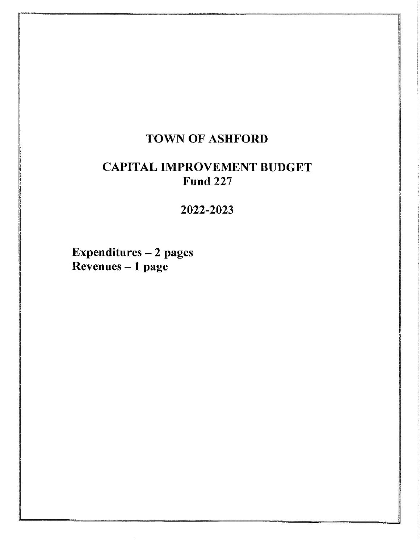# **TOWN OF ASHFORD**

# **CAPITAL IMPROVEMENT BUDGET Fund 227**

2022-2023

Expenditures  $-2$  pages Revenues - 1 page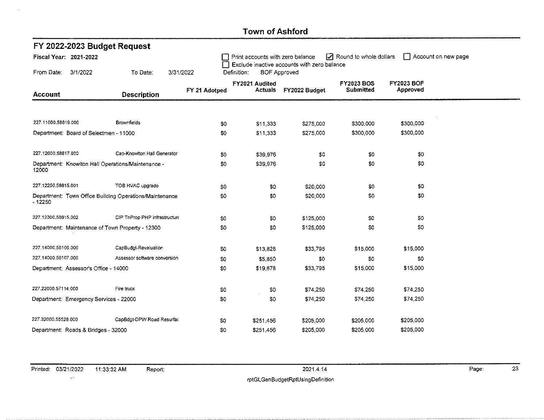| FY 2022-2023 Budget Request                                        |                               |               |                                  |                                             |                                |                               |                     |  |  |
|--------------------------------------------------------------------|-------------------------------|---------------|----------------------------------|---------------------------------------------|--------------------------------|-------------------------------|---------------------|--|--|
| Fiscal Year: 2021-2022                                             |                               |               | Print accounts with zero balance | Exclude inactive accounts with zero balance | Round to whole dollars         |                               | Account on new page |  |  |
| From Date:<br>3/1/2022                                             | To Date:<br>3/31/2022         |               | Definition:                      | <b>BOF Approved</b>                         |                                |                               |                     |  |  |
|                                                                    |                               | FY 21 Adotped | FY2021 Audited<br><b>Actuals</b> | FY2022 Budget                               | <b>FY2023 BOS</b><br>Submitted | <b>FY2023 BOF</b><br>Approved |                     |  |  |
| <b>Account</b>                                                     | <b>Description</b>            |               |                                  |                                             |                                |                               |                     |  |  |
|                                                                    |                               |               |                                  |                                             |                                |                               |                     |  |  |
| 227.11000.58819.000                                                | <b>Brownfields</b>            | \$0           | \$11,333                         | \$275,000                                   | \$300,000                      | \$300,000                     |                     |  |  |
| Department: Board of Selectmen - 11000                             |                               | \$0           | \$11,333                         | \$275,000                                   | \$300,000                      | \$300,000                     |                     |  |  |
| 227.12000.58817.000                                                | Cap-Knowlton Hall Generator   | \$0           | \$39.976                         | \$G                                         | \$0                            | \$0                           |                     |  |  |
| Department: Knowlton Hall Operations/Maintenance -<br>12000        |                               | \$0           | \$39,976                         | \$0                                         | \$0                            | \$0                           |                     |  |  |
| 227.12250.58815.001                                                | TOB HVAC upgrade              | \$0           | \$0                              | \$20,000                                    | \$0                            | \$0                           |                     |  |  |
| Department: Town Office Building Operations/Maintenance<br>- 12250 |                               | \$0           | \$0                              | \$20,000                                    | \$0                            | \$0                           |                     |  |  |
| 227.12300.58815.002                                                | CIP TnProp PHP infrastructure | \$0           | \$0                              | \$125,000                                   | \$0                            | \$0                           |                     |  |  |
| Department: Maintenance of Town Property - 12300                   |                               | \$0           | \$0                              | \$125,000                                   | \$0                            | \$0                           |                     |  |  |
| 227.14000.58106.000                                                | CapBudgt-Revaluation          | \$0           | \$13,828                         | \$33,795                                    | \$15,000                       | \$15,000                      |                     |  |  |
| 227.14000.58107.000                                                | Assessor software conversion  | \$0           | \$5 850                          | \$0                                         | \$0                            | \$0                           |                     |  |  |
| Department: Assessor's Office - 14000                              |                               | \$0           | \$19,678                         | \$33,795                                    | \$15,000                       | \$15,000                      |                     |  |  |
| 227.22000.57114.000                                                | Fire truck                    | \$0           | \$0                              | \$74,250                                    | \$74,250                       | \$74,250                      |                     |  |  |
| Department: Emergency Services - 22000                             |                               | \$0           | \$0                              | \$74,250                                    | \$74,250                       | \$74,250                      |                     |  |  |
| 227,32000.55528.000                                                | CapBdgt-DPW Road Resurfac     | \$0           | \$251,456                        | \$205,000                                   | \$205,000                      | \$205,000                     |                     |  |  |
| Department: Roads & Bridges - 32000                                |                               | \$0           | \$251,456                        | \$205,000                                   | \$205,000                      | \$205,000                     |                     |  |  |

 $\omega_{\rm eff}$ 

Page:

23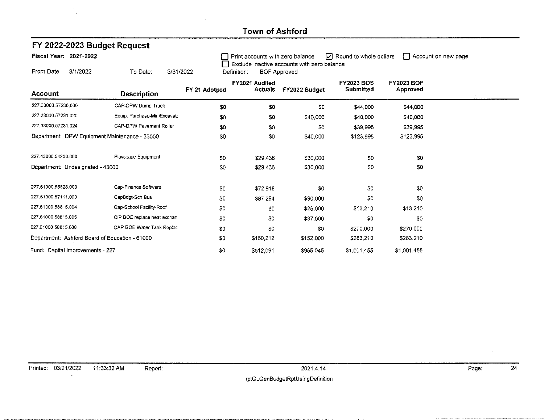| Fiscal Year: 2021-2022                         |                              |               | Print accounts with zero balance | Exclude inactive accounts with zero balance | Round to whole dollars |                   | Account on new page |
|------------------------------------------------|------------------------------|---------------|----------------------------------|---------------------------------------------|------------------------|-------------------|---------------------|
| 3/1/2022<br>From Date:                         | To Date:<br>3/31/2022        |               | Definition:                      | <b>BOF Approved</b>                         |                        |                   |                     |
|                                                |                              |               | FY2021 Audited                   |                                             | <b>FY2023 BOS</b>      | <b>FY2023 BOF</b> |                     |
| Account                                        | <b>Description</b>           | FY 21 Adotped | Actuals                          | FY2022 Budget                               | Submitted              | Approved          |                     |
| 227.33000.57230.000                            | CAP-DPW Dump Truck           | \$0           | \$0                              | \$0                                         | \$44,000               | \$44,000          |                     |
| 227.33000.57231.020                            | Equip. Purchase-MiniExcavato | \$0           | \$0                              | \$40,000                                    | \$40,000               | \$40,000          |                     |
| 227.33000.57231.024                            | CAP-DPW Pavement Roller      | \$0           | \$0                              | \$0                                         | \$39,995               | \$39,995          |                     |
| Department: DPW Equipment Maintenance - 33000  |                              | \$0           | \$0                              | \$40,000                                    | \$123,995              | \$123,995         |                     |
| 227.43000.54230.000                            | Playscape Equipment          | \$0           | \$29,436                         | \$30,000                                    | \$0                    | \$0               |                     |
| Department: Undesignated - 43000               |                              | \$0           | \$29,436                         | \$30,000                                    | \$0                    | \$0               |                     |
| 227.61000.55528.000                            | Cap-Finance Software         | \$0           | \$72,918                         | \$0                                         | \$0                    | \$0               |                     |
| 227.61000.57111.000                            | CapBdgt-Sch Bus              | \$0           | \$87,294                         | \$90,000                                    | \$0                    | \$0               |                     |
| 227.61000.58815.004                            | Cap-School Facility-Roof     | \$0           | \$0                              | \$25,000                                    | \$13,210               | \$13,210          |                     |
| 227.61000.58815.005                            | CIP BOE replace heat exchan  | \$0           | \$0                              | \$37,000                                    | \$0                    | \$0               |                     |
| 227.61000.58815.008                            | CAP-BOE Water Tank Replac    | \$0           | \$0                              | \$0                                         | \$270,000              | \$270,000         |                     |
| Department: Ashford Board of Education - 61000 |                              | \$0           | \$160,212                        | \$152,000                                   | \$283,210              | \$283,210         |                     |
| Fund: Capital Improvements - 227               |                              | \$0           | \$512,091                        | \$955,045                                   | \$1,001,455            | \$1,001,455       |                     |

 $\omega$ 

FY 2022-2023 Budget Request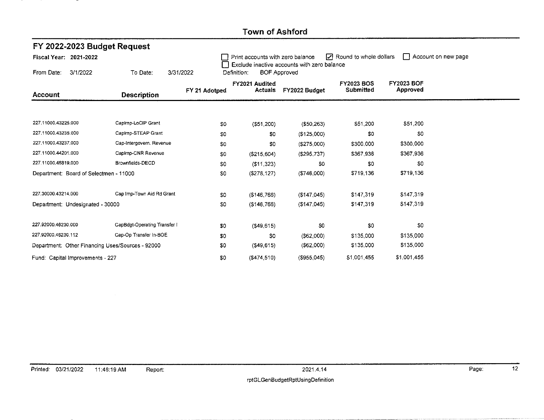| FY 2022-2023 Budget Request                      |                              |               |                                  |                                                                    |                                |                               |                     |
|--------------------------------------------------|------------------------------|---------------|----------------------------------|--------------------------------------------------------------------|--------------------------------|-------------------------------|---------------------|
| Fiscal Year: 2021-2022                           |                              |               | Print accounts with zero balance |                                                                    | Round to whole dollars         |                               | Account on new page |
| 3/1/2022<br>From Date:                           | To Date:<br>3/31/2022        |               | Definition:                      | Exclude inactive accounts with zero balance<br><b>BOF Approved</b> |                                |                               |                     |
| Account                                          | <b>Description</b>           | FY 21 Adotped | FY2021 Audited<br><b>Actuals</b> | FY2022 Budget                                                      | <b>FY2023 BOS</b><br>Submitted | <b>FY2023 BOF</b><br>Approved |                     |
|                                                  |                              |               |                                  |                                                                    |                                |                               |                     |
| 227.11000.43225.000                              | Capimp-LoCIP Grant           | \$0           | ( \$51,200)                      | (\$50,263)                                                         | \$51,200                       | \$51,200                      |                     |
| 227.11000.43235.000                              | Capimp-STEAP Grant           | \$0           | \$0                              | (\$125,000)                                                        | \$0                            | \$0                           |                     |
| 227.11000.43237.000                              | Cap-Intergovern, Revenue     | \$0           | \$0                              | (\$275,000)                                                        | \$300,000                      | \$300,000                     |                     |
| 227.11000.44201.000                              | CapImp-CNR Revenue           | \$0           | (\$215,604)                      | (\$295,737)                                                        | \$367.936                      | \$367,936                     |                     |
| 227.11000.48819.000                              | Brownfields-DECD             | \$0           | ( \$11, 323)                     | \$0                                                                | \$0                            | \$0                           |                     |
| Department: Board of Selectmen - 11000           |                              | \$0           | (\$278, 127)                     | (\$746,000)                                                        | \$719,136                      | \$719,136                     |                     |
| 227.30000.43214.000                              | Cap Imp-Town Aid Rd Grant    | \$0           | ( \$146, 768)                    | ( \$147,045)                                                       | \$147,319                      | \$147,319                     |                     |
| Department: Undesignated - 30000                 |                              | \$0           | (S146, 768)                      | $($ \$147,045)                                                     | \$147,319                      | \$147,319                     |                     |
| 227.92000.46230.000                              | CapBdgt-Operating Transfer I | \$0           | $($ \$49,615)                    | \$0                                                                | \$0                            | \$0                           |                     |
| 227.92000.46230.112                              | Cap-Op Transfer In-BOE       | \$0           | \$0                              | ( \$62,000)                                                        | \$135,000                      | \$135,000                     |                     |
| Department: Other Financing Uses/Sources - 92000 |                              | \$0           | ( \$49, 615)                     | $($ \$62,000)                                                      | \$135,000                      | \$135,000                     |                     |
| Fund: Capital Improvements - 227                 |                              | \$0           | ( \$474, 510)                    | $($ \$955,045)                                                     | \$1,001,455                    | \$1,001,455                   |                     |

 $\overline{\phantom{a}}$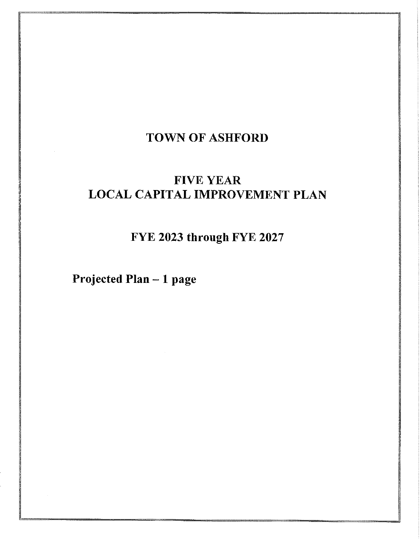## **TOWN OF ASHFORD**

## **FIVE YEAR LOCAL CAPITAL IMPROVEMENT PLAN**

FYE 2023 through FYE 2027

Projected Plan - 1 page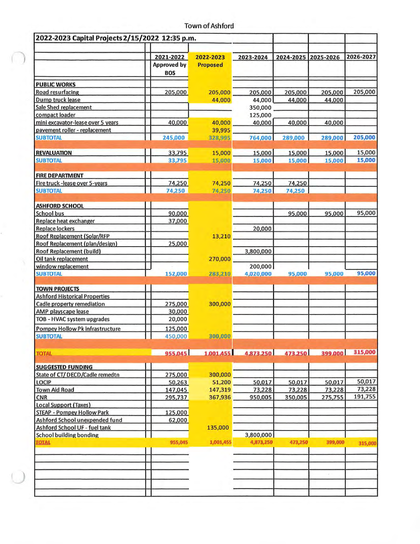| <b>PUBLIC WORKS</b><br><b>Road resurfacing</b> | 2021-2022<br><b>Approved by</b><br><b>BOS</b> | 2022-2023<br><b>Proposed</b> | 2023-2024                           | 2024-2025 | 2025-2026 | 2026-2027 |
|------------------------------------------------|-----------------------------------------------|------------------------------|-------------------------------------|-----------|-----------|-----------|
|                                                |                                               |                              |                                     |           |           |           |
|                                                |                                               |                              |                                     |           |           |           |
|                                                | 205,000                                       | 205,000                      | 205,000                             | 205,000   | 205,000   | 205,000   |
| Dump truck lease                               |                                               | 44,000                       | 44,000                              | 44,000    | 44,000    |           |
| Sale Shed replacement                          |                                               |                              | 350,000                             |           |           |           |
| compact loader                                 |                                               |                              | 125,000                             |           |           |           |
| mini excavator-lease over 5 years              | 40,000                                        | 40,000                       | 40,000                              | 40,000    | 40,000    |           |
| pavement roller - replacement                  |                                               | 39,995                       |                                     |           |           |           |
| <b>SUBTOTAL</b>                                | 245,000                                       | 328,995                      | 764,000                             | 289,000   | 289,000   | 205,000   |
| <b>REVALUATION</b>                             | 33,795                                        | 15,000                       | 15,000                              | 15,000    | 15,000    | 15,000    |
| <b>SUBTOTAL</b>                                | 33,795                                        | 15,000                       | 15,000                              | 15,000    | 15,000    | 15,000    |
|                                                |                                               |                              |                                     |           |           |           |
| <b>FIRE DEPARTMENT</b>                         |                                               |                              |                                     |           |           |           |
| Fire truck -lease over 5-years                 | 74,250                                        | 74,250                       | 74,250                              | 74,250    |           |           |
| <b>SUBTOTAL</b>                                | 74,250                                        | 74,250                       | 74,250                              | 74,250    |           |           |
| <b>ASHFORD SCHOOL</b>                          |                                               |                              |                                     |           |           |           |
| School bus                                     | 90,000                                        |                              |                                     | 95,000    | 95,000    | 95,000    |
| Replace heat exchanger                         | 37,000                                        |                              |                                     |           |           |           |
| <b>Replace lockers</b>                         |                                               |                              | 20,000                              |           |           |           |
| Roof Replacement (Solar/RFP                    |                                               | 13,210                       |                                     |           |           |           |
| Roof Replacement (plan/design)                 | 25,000                                        |                              |                                     |           |           |           |
| Roof Replacement (build)                       |                                               |                              | 3,800,000                           |           |           |           |
| Oil tank replacement                           |                                               | 270,000                      |                                     |           |           |           |
| window replacement                             |                                               |                              | 200,000                             |           |           |           |
| <b>SUBTOTAL</b>                                | 152,000                                       | 283,210                      | 4,020,000                           | 95,000    | 95,000    | 95,000    |
| <b>TOWN PROJECTS</b>                           |                                               |                              |                                     |           |           |           |
| <b>Ashford Historical Properties</b>           |                                               |                              |                                     |           |           |           |
| Cadle property remediation                     | 275,000                                       | 300,000                      |                                     |           |           |           |
| AMP playscape lease                            | 30,000                                        |                              |                                     |           |           |           |
| TOB - HVAC system upgrades                     | 20,000                                        |                              |                                     |           |           |           |
| Pompey Hollow Pk infrastructure                | 125,000                                       |                              |                                     |           |           |           |
| <b>SUBTOTAL</b>                                | 450,000                                       | 300,000                      |                                     |           |           |           |
|                                                |                                               |                              |                                     |           |           |           |
| <b>TOTAL</b>                                   | 955.045                                       |                              | 1.001.455 4.873.250 473.250 399.000 |           |           | 315,000   |
| <b>SUGGESTED FUNDING</b>                       |                                               |                              |                                     |           |           |           |
| State of CT/DECD/Cadle remedtn                 | 275,000                                       | 300,000                      |                                     |           |           |           |
| <b>LOCIP</b>                                   | 50,263                                        | 51,200                       | 50,017                              | 50,017    | 50,017    | 50,017    |
| <b>Town Aid Road</b>                           | 147,045                                       | 147,319                      | 73,228                              | 73,228    | 73,228    | 73,228    |
| <b>CNR</b>                                     | 295,737                                       | 367,936                      | 950,005                             | 350,005   | 275,755   | 191,755   |
| <b>Local Support (Taxes)</b>                   |                                               |                              |                                     |           |           |           |
| <b>STEAP - Pompey Hollow Park</b>              | 125,000                                       |                              |                                     |           |           |           |
| Ashford School unexpended fund                 | 62,000                                        |                              |                                     |           |           |           |
| Ashford School UF - fuel tank                  |                                               | 135,000                      |                                     |           |           |           |
| <b>School building bonding</b>                 |                                               |                              | 3,800,000                           |           |           |           |
| TOTAL                                          | 955,045                                       | 1,001,455                    | 4,873,250                           | 473,250   | 399,000   | 315,000   |
|                                                |                                               |                              |                                     |           |           |           |
|                                                |                                               |                              |                                     |           |           |           |
|                                                |                                               |                              |                                     |           |           |           |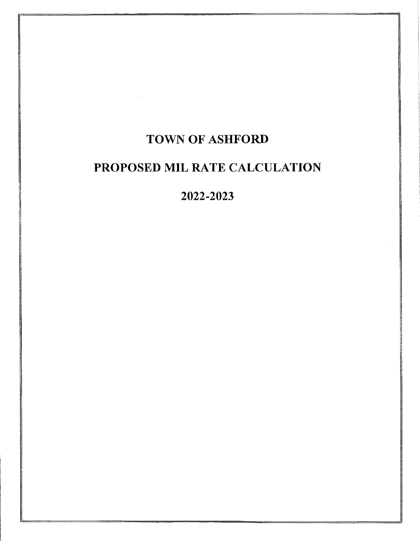# **TOWN OF ASHFORD**

# PROPOSED MIL RATE CALCULATION

2022-2023